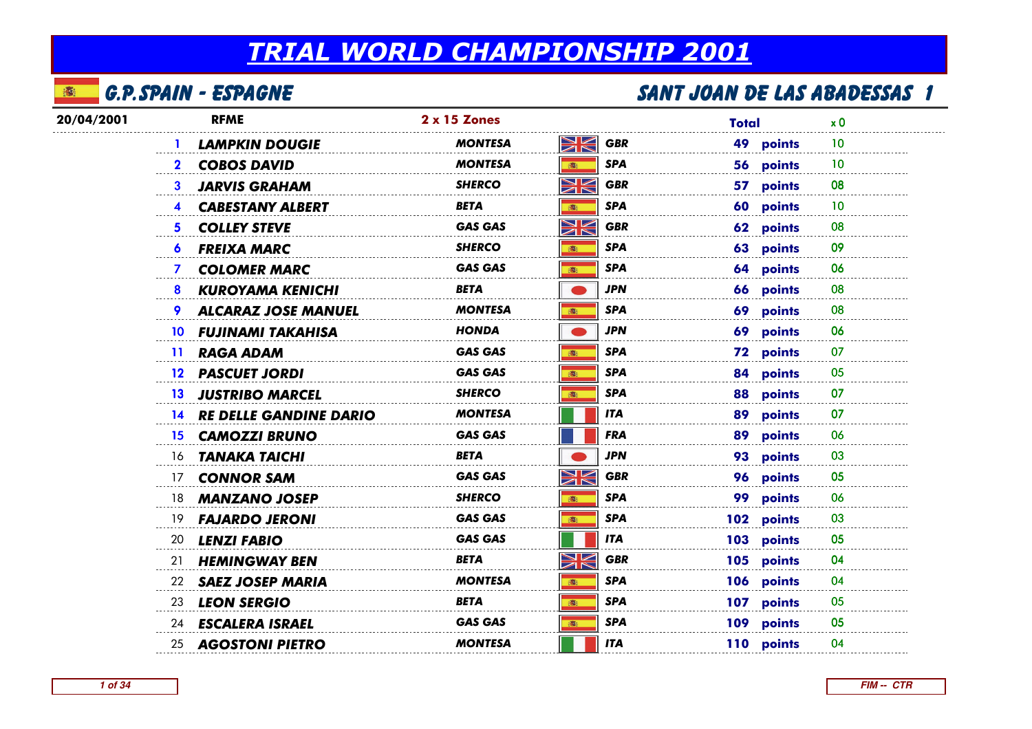#### 本 G.P.Spain - Espagne

| 20/04/2001 | <b>RFME</b>     |                              | 2 x 15 Zones   |                        | <b>Total</b> |                  | x <sub>0</sub> |  |
|------------|-----------------|------------------------------|----------------|------------------------|--------------|------------------|----------------|--|
|            |                 | <b>LAMPKIN DOUGIE</b>        | <b>MONTESA</b> | XK<br><b>GBR</b>       |              | 49 points        | 10             |  |
|            |                 | 2 COBOS DAVID                | <b>MONTESA</b> | <b>SPA</b><br>高        |              | 56 points        | 10             |  |
|            | 3.              | <b>JARVIS GRAHAM</b>         | SHERCO         | NK<br><b>GBR</b>       |              | 57 points        | 08             |  |
|            |                 | 4 CABESTANY ALBERT           | BETA           | <b>SPA</b><br>高        |              | 60 points        | 10             |  |
|            | 5.              | <b>COLLEY STEVE</b>          | <b>GAS GAS</b> | NK<br>ZK<br><b>GBR</b> |              | 62 points        | 08             |  |
|            | $\bullet$       | <b>FREIXA MARC</b>           | <b>SHERCO</b>  | <b>SPA</b><br>(图)      |              | 63 points        | 09             |  |
|            |                 | 7 COLOMER MARC               | <b>GAS GAS</b> | <b>SPA</b><br>16:      |              | 64 points        | 06             |  |
|            | 8               | <b>KUROYAMA KENICHI</b>      | <b>BETA</b>    | JPN                    |              | 66 points        | 08             |  |
|            |                 | <b>9 ALCARAZ JOSE MANUEL</b> | <b>MONTESA</b> | <b>SPA</b><br>高        |              | 69 points        | 08             |  |
|            |                 | 10 FUJINAMI TAKAHISA         | <b>HONDA</b>   | <b>JPN</b>             |              | 69 points        | 06             |  |
|            | 11 <sup>1</sup> | <b>RAGA ADAM</b>             | <b>GAS GAS</b> | <b>SPA</b><br>(图)      |              | <b>72 points</b> | 07             |  |
|            |                 | 12 PASCUET JORDI             | <b>GAS GAS</b> | <b>SPA</b><br>6        |              | 84 points        | 05             |  |
|            |                 | 13 JUSTRIBO MARCEL           | <b>SHERCO</b>  | <b>SPA</b><br>痛        |              | 88 points        | 07             |  |
|            |                 | 14 RE DELLE GANDINE DARIO    | <b>MONTESA</b> | <b>ITA</b>             |              | 89 points        | 07             |  |
|            |                 | <b>15 CAMOZZI BRUNO</b>      | <b>GAS GAS</b> | <b>FRA</b>             |              | 89 points        | 06             |  |
|            |                 | 16 <b>TANAKA TAICHI</b>      | BETA           | <b>JPN</b>             |              | 93 points        | 03             |  |
|            |                 | 17 CONNOR SAM                | <b>GAS GAS</b> | XK<br><b>GBR</b>       |              | 96 points        | 05             |  |
|            |                 | 18 <b>MANZANO JOSEP</b>      | <b>SHERCO</b>  | <b>SPA</b><br>16:      |              | 99 points        | 06             |  |
|            | 19              | <b>FAJARDO JERONI</b>        | <b>GAS GAS</b> | <b>SPA</b><br>5        |              | 102 points       | 03             |  |
|            | 20              | <b>LENZI FABIO</b>           | <b>GAS GAS</b> | <b>ITA</b>             |              | 103 points       | 05             |  |
|            | 21              | <b>HEMINGWAY BEN</b>         | BETA           | NK<br><b>GBR</b>       |              | 105 points       | 04             |  |
|            | 22              | <b>SAEZ JOSEP MARIA</b>      | <b>MONTESA</b> | <b>SPA</b><br>5        |              | 106 points       | 04             |  |
|            | 23              | <b>LEON SERGIO</b>           | BETA           | <b>SPA</b><br>高        |              | 107 points       | 05             |  |
|            |                 | 24 <b>ESCALERA ISRAEL</b>    | <b>GAS GAS</b> | <b>SPA</b><br>16:      |              | 109 points       | 05             |  |
|            |                 | 25 <b>AGOSTONI PIETRO</b>    | <b>MONTESA</b> | <b>ITA</b>             |              | 110 points       | 04             |  |
|            |                 |                              |                |                        |              |                  |                |  |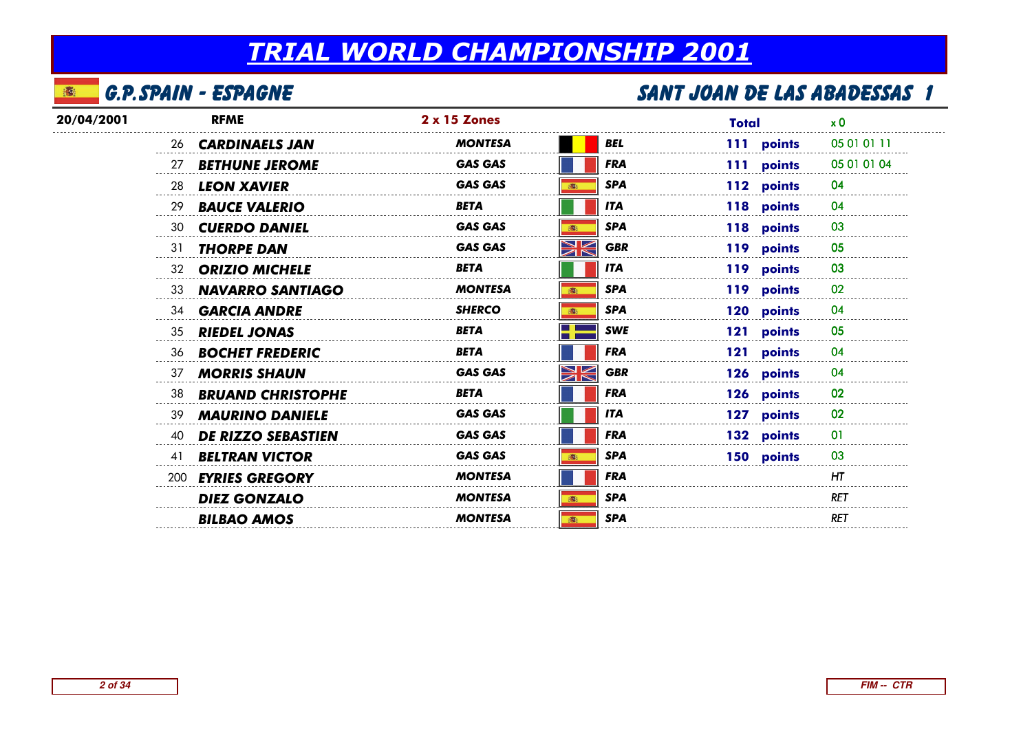#### 本 G.P.Spain - Espagne

| 20/04/2001 |    | <b>RFME</b>               | $2 \times 15$ Zones |                  | <b>Total</b> | x 0         |
|------------|----|---------------------------|---------------------|------------------|--------------|-------------|
|            | 26 | <b>CARDINAELS JAN</b>     | <b>MONTESA</b>      | BEL              | 111 points   | 05 01 01 11 |
|            | 27 | <b>BETHUNE JEROME</b>     | <b>GAS GAS</b>      | <b>FRA</b>       | 111 points   | 05 01 01 04 |
|            | 28 | <b>LEON XAVIER</b>        | <b>GAS GAS</b>      | <b>SPA</b>       | 112 points   | 04          |
|            | 29 | <b>BAUCE VALERIO</b>      | <b>BETA</b>         | <b>ITA</b>       | 118 points   | 04          |
|            | 30 | <b>CUERDO DANIEL</b>      | <b>GAS GAS</b>      | <b>SPA</b>       | 118 points   | 03          |
|            | 31 | <b>THORPE DAN</b>         | <b>GAS GAS</b>      | XK<br><b>GBR</b> | 119 points   | 05          |
|            | 32 | <b>ORIZIO MICHELE</b>     | <b>BETA</b>         | <b>ITA</b>       | 119 points   | 03          |
|            | 33 | <b>NAVARRO SANTIAGO</b>   | <b>MONTESA</b>      | <b>SPA</b><br>高  | 119 points   | 02          |
|            | 34 | <b>GARCIA ANDRE</b>       | <b>SHERCO</b>       | <b>SPA</b>       | 120 points   | 04          |
|            | 35 | <b>RIEDEL JONAS</b>       | <b>BETA</b>         | <b>SWE</b>       | 121 points   | 05          |
|            | 36 | <b>BOCHET FREDERIC</b>    | <b>BETA</b>         | <b>FRA</b>       | 121 points   | 04          |
|            | 37 | <b>MORRIS SHAUN</b>       | <b>GAS GAS</b>      | XK<br><b>GBR</b> | 126 points   | 04          |
|            | 38 | <b>BRUAND CHRISTOPHE</b>  | <b>BETA</b>         | <b>FRA</b>       | 126 points   | 02          |
|            | 39 | <b>MAURINO DANIELE</b>    | <b>GAS GAS</b>      | <b>ITA</b>       | 127 points   | 02          |
|            | 40 | <b>DE RIZZO SEBASTIEN</b> | <b>GAS GAS</b>      | <b>FRA</b>       | 132 points   | 01          |
|            | 41 | <b>BELTRAN VICTOR</b>     | <b>GAS GAS</b>      | <b>SPA</b>       | 150 points   | 03          |
|            |    | 200 EYRIES GREGORY        | <b>MONTESA</b>      | <b>FRA</b>       |              | HT          |
|            |    | <b>DIEZ GONZALO</b>       | <b>MONTESA</b>      | <b>SPA</b>       |              | RET         |
|            |    | <b>BILBAO AMOS</b>        | <b>MONTESA</b>      | <b>SPA</b>       |              | <b>RET</b>  |
|            |    |                           |                     |                  |              |             |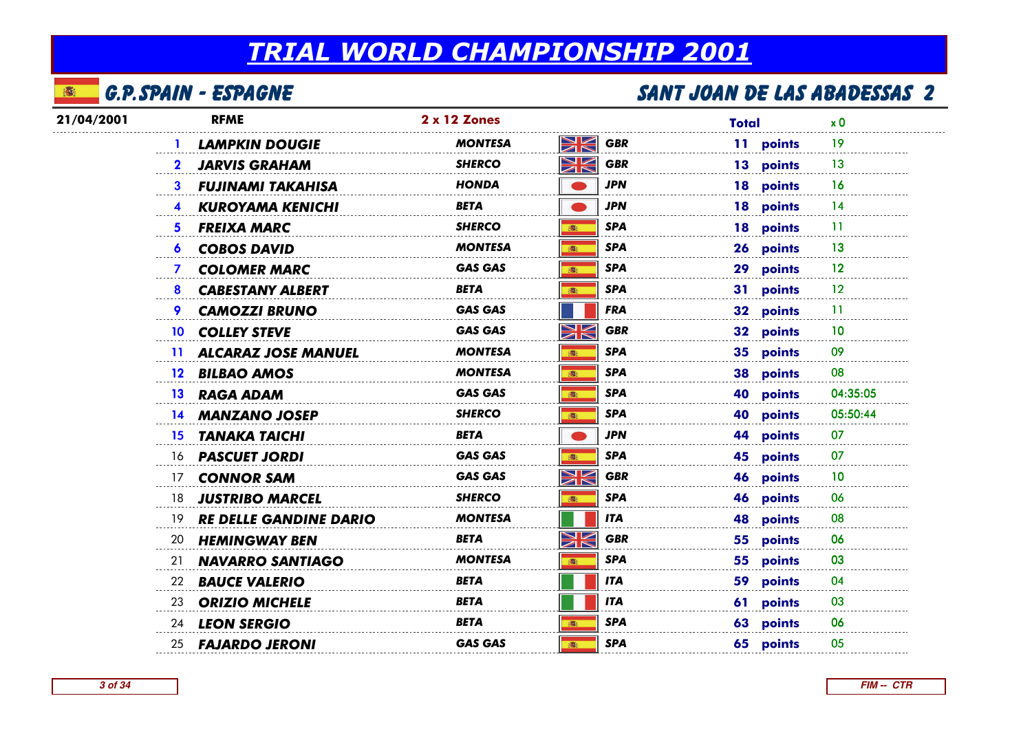#### 本 G.P.Spain - Espagne

| 21/04/2001 | <b>RFME</b>                            | 2 x 12 Zones                                                | Total     | x 0      |
|------------|----------------------------------------|-------------------------------------------------------------|-----------|----------|
|            | <b>LAMPKIN DOUGIE</b>                  | XK<br><b>GBR</b><br><b>MONTESA</b>                          | 11 points | 19       |
|            | <b>JARVIS GRAHAM</b><br>$\mathbf{2}^-$ | XK<br><b>GBR</b><br><b>SHERCO</b>                           | 13 points | 13       |
|            | <b>FUJINAMI TAKAHISA</b><br>3.         | <b>JPN</b><br>HONDA                                         | 18 points | 16       |
|            | <b>KUROYAMA KENICHI</b>                | <b>JPN</b><br>BETA                                          | 18 points | 14       |
|            | <b>FREIXA MARC</b><br>5.               | <b>SPA</b><br><b>SHERCO</b><br>高                            | 18 points | 11       |
|            | <b>6 COBOS DAVID</b>                   | <b>SPA</b><br><b>MONTESA</b><br>(画)                         | 26 points | 13       |
|            | <b>COLOMER MARC</b><br>$\mathcal{I}$   | <b>GAS GAS</b><br><b>SPA</b><br>6                           | 29 points | 12       |
|            | <b>CABESTANY ALBERT</b><br>8           | <b>SPA</b><br>BETA<br>高                                     | 31 points | $12 \,$  |
|            | <b>CAMOZZI BRUNO</b><br>9.             | <b>GAS GAS</b><br><b>FRA</b>                                | 32 points | -11      |
|            | <b>COLLEY STEVE</b><br>10 <sup>°</sup> | NK<br>7K<br><b>GBR</b><br><b>GAS GAS</b>                    | 32 points | 10       |
|            | 11 ALCARAZ JOSE MANUEL                 | <b>SPA</b><br><b>MONTESA</b><br>高                           | 35 points | 09       |
|            | <b>BILBAO AMOS</b><br>12 <sup>2</sup>  | <b>SPA</b><br><b>MONTESA</b><br>高                           | 38 points | 08       |
|            | 13 RAGA ADAM                           | <b>SPA</b><br><b>GAS GAS</b><br>ion i                       | 40 points | 04:35:05 |
|            | 14 MANZANO JOSEP                       | <b>SHERCO</b><br><b>SPA</b><br>(图)                          | 40 points | 05:50:44 |
|            | TANAKA TAICHI<br>15                    | <b>BETA</b><br><b>JPN</b>                                   | 44 points | 07       |
|            | 16 <b>PASCUET JORDI</b>                | <b>SPA</b><br><b>GAS GAS</b><br>游                           | 45 points | 07       |
|            | 17 CONNOR SAM                          | $\blacktriangleright$<br><b>GBR</b><br><b>GAS GAS</b><br>ON | 46 points | 10       |
|            | 18 JUSTRIBO MARCEL                     | <b>SPA</b><br><b>SHERCO</b><br>德                            | 46 points | 06       |
|            | RE DELLE GANDINE DARIO<br>19.          | <b>MONTESA</b><br><b>ITA</b>                                | 48 points | 08       |
|            | 20<br><b>HEMINGWAY BEN</b>             | $\blacktriangleright$<br><b>GBR</b><br>BETA                 | 55 points | 06       |
|            | <b>NAVARRO SANTIAGO</b><br>21          | <b>MONTESA</b><br><b>SPA</b><br>高                           | 55 points | 03       |
|            | 22<br><b>BAUCE VALERIO</b>             | BETA<br><b>ITA</b>                                          | 59 points | 04       |
|            | <b>ORIZIO MICHELE</b><br>23            | <b>BETA</b><br><b>ITA</b>                                   | 61 points | 03       |
|            | 24 LEON SERGIO                         | <b>SPA</b><br><b>BETA</b><br>高                              | 63 points | 06       |
|            | 25 <b>FAJARDO JERONI</b>               | <b>SPA</b><br><b>GAS GAS</b><br>: 高                         | 65 points | 05       |
|            |                                        |                                                             |           |          |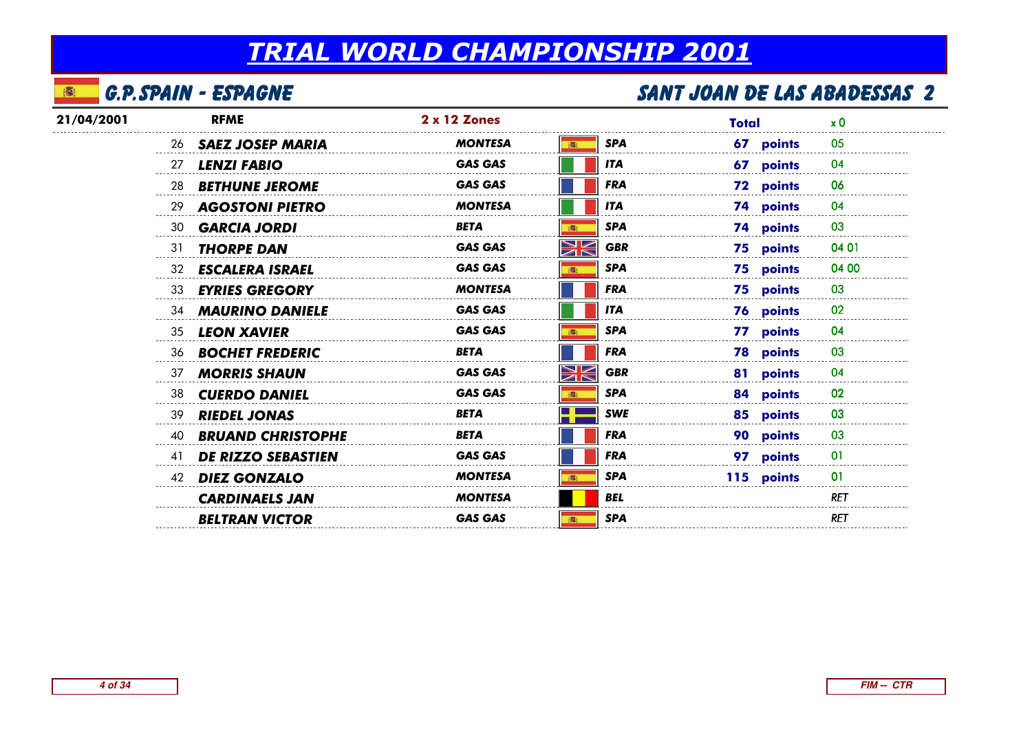#### 本 G.P.Spain - Espagne

| 21/04/2001 |    | <b>RFME</b>                | <b>2 x 12 Zones</b> |                           | Total            | x <sub>0</sub> |
|------------|----|----------------------------|---------------------|---------------------------|------------------|----------------|
|            |    | 26 <b>SAEZ JOSEP MARIA</b> | <b>MONTESA</b>      | <b>SPA</b>                | 67 points        | 05             |
|            | 27 | <b>LENZI FABIO</b>         | <b>GAS GAS</b>      | <b>ITA</b>                | 67 points        | 04             |
|            | 28 | <b>BETHUNE JEROME</b>      | <b>GAS GAS</b>      | <b>FRA</b>                | 72 points        | 06             |
|            | 29 | <b>AGOSTONI PIETRO</b>     | <b>MONTESA</b>      | <b>ITA</b>                | 74 points        | 04             |
|            | 30 | <b>GARCIA JORDI</b>        | <b>BETA</b>         | <b>SPA</b>                | 74 points        | 03             |
|            | 31 | <b>THORPE DAN</b>          | <b>GAS GAS</b>      | XK<br><b>GBR</b>          | 75 points        | 04 01          |
|            | 32 | <b>ESCALERA ISRAEL</b>     | <b>GAS GAS</b>      | <b>SPA</b><br><b>BOS</b>  | 75 points        | 04 00          |
|            | 33 | <b>EYRIES GREGORY</b>      | <b>MONTESA</b>      | <b>FRA</b>                | 75 points        | 03             |
|            | 34 | <b>MAURINO DANIELE</b>     | <b>GAS GAS</b>      | <b>ITA</b>                | 76 points        | 02             |
|            | 35 | <b>LEON XAVIER</b>         | <b>GAS GAS</b>      | <b>SPA</b>                | 77 points        | 04             |
|            | 36 | <b>BOCHET FREDERIC</b>     | <b>BETA</b>         | <b>FRA</b>                | <b>78 points</b> | 03             |
|            | 37 | <b>MORRIS SHAUN</b>        | <b>GAS GAS</b>      | $\geqslant$<br><b>GBR</b> | 81 points        | 04             |
|            | 38 | <b>CUERDO DANIEL</b>       | <b>GAS GAS</b>      | <b>SPA</b><br>■           | 84 points        | 02             |
|            | 39 | <b>RIEDEL JONAS</b>        | <b>BETA</b>         | <b>SWE</b>                | 85 points        | 03             |
|            | 40 | <b>BRUAND CHRISTOPHE</b>   | BETA                | <b>FRA</b>                | 90 points        | 03             |
|            | 41 | <b>DE RIZZO SEBASTIEN</b>  | <b>GAS GAS</b>      | <b>FRA</b>                | 97 points        | $_{01}$        |
|            | 42 | <b>DIEZ GONZALO</b>        | <b>MONTESA</b>      | <b>SPA</b>                | 115 points       | 01             |
|            |    | <b>CARDINAELS JAN</b>      | <b>MONTESA</b>      | <b>BEL</b>                |                  | <b>RET</b>     |
|            |    | <b>BELTRAN VICTOR</b>      | <b>GAS GAS</b>      | <b>SPA</b>                |                  | <b>RET</b>     |
|            |    |                            |                     |                           |                  |                |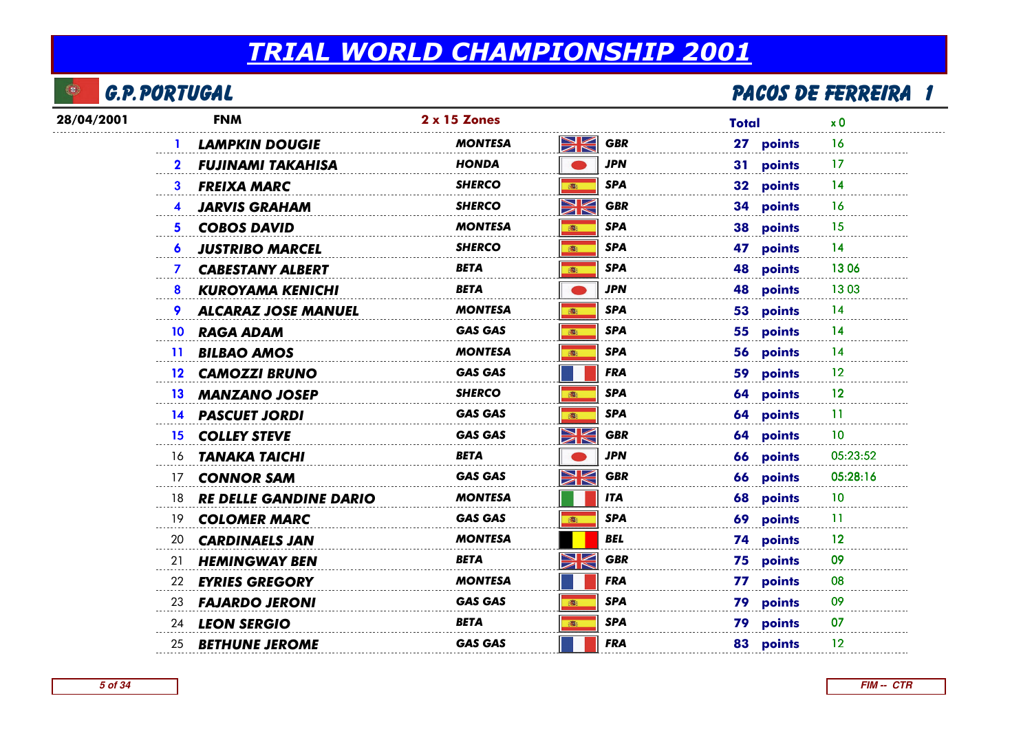

## <u>l de partie de la partie de la partie de la partie de la partie de la partie de la partie de la partie de la p</u>

| 28/04/2001 | <b>FNM</b>                               | 2 x 15 Zones   |                              | <b>Total</b> | x <sub>0</sub> |
|------------|------------------------------------------|----------------|------------------------------|--------------|----------------|
|            | <b>LAMPKIN DOUGIE</b>                    | <b>MONTESA</b> | XK<br><b>GBR</b>             | 27 points    | 16             |
|            | <b>FUJINAMI TAKAHISA</b><br>$\mathbf{2}$ | <b>HONDA</b>   | <b>JPN</b>                   | 31 points    | -17            |
|            | <b>FREIXA MARC</b><br>3                  | <b>SHERCO</b>  | <b>SPA</b><br>(画)            | 32 points    | 14             |
|            | <b>JARVIS GRAHAM</b>                     | SHERCO         | $\geqslant$<br><b>GBR</b>    | 34 points    | 16             |
|            | <b>COBOS DAVID</b><br>5.                 | <b>MONTESA</b> | <b>SPA</b><br>(画)            | 38 points    | 15             |
|            | <b>JUSTRIBO MARCEL</b><br>6              | SHERCO         | <b>SPA</b><br>(画)            | 47 points    | 14             |
|            | <b>CABESTANY ALBERT</b><br>$\mathbf{7}$  | BETA           | SPA<br>(画)                   | 48 points    | 1306           |
|            | <b>KUROYAMA KENICHI</b><br>8             | BETA           | <b>JPN</b>                   | 48 points    | 1303           |
|            | <b>ALCARAZ JOSE MANUEL</b>               | <b>MONTESA</b> | <b>SPA</b><br>高              | 53 points    | 14             |
|            | <b>RAGA ADAM</b><br>10                   | <b>GAS GAS</b> | <b>SPA</b><br>(画)            | 55 points    | 14             |
|            | <b>BILBAO AMOS</b><br>$\mathbf{11}$      | <b>MONTESA</b> | <b>SPA</b><br>(画)            | 56 points    | 14             |
|            | <b>CAMOZZI BRUNO</b><br>12 <sup>12</sup> | <b>GAS GAS</b> | <b>FRA</b>                   | 59 points    | 12             |
|            | 13 MANZANO JOSEP                         | <b>SHERCO</b>  | <b>SPA</b><br>(画)            | 64 points    | 12             |
|            | 14 PASCUET JORDI                         | <b>GAS GAS</b> | <b>SPA</b><br>$\mathbf{B}_1$ | 64 points    | -11            |
|            | 15 <sup>15</sup><br><b>COLLEY STEVE</b>  | <b>GAS GAS</b> | XK<br><b>GBR</b>             | 64 points    | 10             |
|            | 16 <b>TANAKA TAICHI</b>                  | <b>BETA</b>    | <b>JPN</b>                   | 66 points    | 05:23:52       |
|            | <b>CONNOR SAM</b><br>17                  | <b>GAS GAS</b> | XK<br><b>GBR</b>             | 66 points    | 05:28:16       |
|            | <b>RE DELLE GANDINE DARIO</b><br>18      | <b>MONTESA</b> | <b>ITA</b>                   | 68 points    | 10             |
|            | <b>COLOMER MARC</b><br>19                | <b>GAS GAS</b> | <b>SPA</b><br>電              | 69 points    | -11            |
|            | 20<br><b>CARDINAELS JAN</b>              | MONTESA        | <b>BEL</b>                   | 74 points    | 12             |
|            | <b>HEMINGWAY BEN</b><br>21               | BETA           | XK<br><b>GBR</b>             | 75 points    | 09             |
|            | <b>EYRIES GREGORY</b><br>22              | <b>MONTESA</b> | <b>FRA</b>                   | 77 points    | 08             |
|            | 23 <b>FAJARDO JERONI</b>                 | <b>GAS GAS</b> | <b>SPA</b><br>(画)            | 79 points    | 09             |
|            | 24 LEON SERGIO                           | <b>BETA</b>    | <b>SPA</b><br>(图)            | 79 points    | 07             |
|            | 25 <b>BETHUNE JEROME</b>                 | <b>GAS GAS</b> | <b>FRA</b>                   | 83 points    | 12             |
|            |                                          |                |                              |              |                |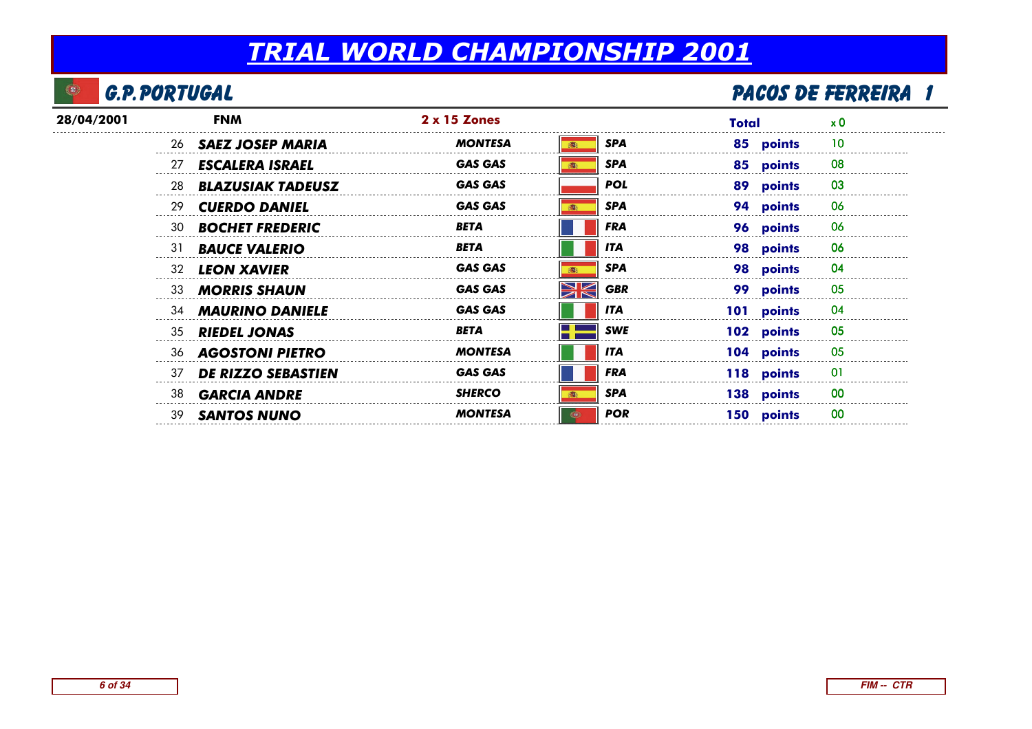#### $\bullet$ G.P.Portugal

## <u>l de partie de la partie de la partie de la partie de la partie de la partie de la partie de la partie de la p</u>

| 28/04/2001 |    | <b>FNM</b>                 | $2 \times 15$ Zones |                            | Total      | x 0 |
|------------|----|----------------------------|---------------------|----------------------------|------------|-----|
|            |    | 26 <b>SAEZ JOSEP MARIA</b> | <b>MONTESA</b>      | <b>SPA</b>                 | 85 points  | 10  |
|            | 27 | <b>ESCALERA ISRAEL</b>     | <b>GAS GAS</b>      | <b>SPA</b><br><b>STEEL</b> | 85 points  | 08  |
|            | 28 | <b>BLAZUSIAK TADEUSZ</b>   | <b>GAS GAS</b>      | <b>POL</b>                 | 89 points  | 03  |
|            | 29 | <b>CUERDO DANIEL</b>       | <b>GAS GAS</b>      | <b>SPA</b>                 | 94 points  | 06  |
|            | 30 | <b>BOCHET FREDERIC</b>     | <b>BETA</b>         | <b>FRA</b>                 | 96 points  | 06  |
|            | 31 | <b>BAUCE VALERIO</b>       | <b>BETA</b>         | <b>ITA</b>                 | 98 points  | 06  |
|            | 32 | <b>LEON XAVIER</b>         | <b>GAS GAS</b>      | <b>SPA</b>                 | 98 points  | 04  |
|            | 33 | <b>MORRIS SHAUN</b>        | <b>GAS GAS</b>      | XK<br><b>GBR</b>           | 99 points  | 05  |
|            |    | 34 <b>MAURINO DANIELE</b>  | <b>GAS GAS</b>      | <b>ITA</b>                 | 101 points | 04  |
|            | 35 | <b>RIEDEL JONAS</b>        | <b>BETA</b>         | <b>SWE</b>                 | 102 points | 05  |
|            |    | 36 AGOSTONI PIETRO         | <b>MONTESA</b>      | <b>ITA</b>                 | 104 points | 05  |
|            | 37 | <b>DE RIZZO SEBASTIEN</b>  | <b>GAS GAS</b>      | <b>FRA</b>                 | 118 points | 01  |
|            | 38 | <b>GARCIA ANDRE</b>        | <b>SHERCO</b>       | <b>SPA</b><br><b>BREE</b>  | 138 points | 00  |
|            | 39 | <b>SANTOS NUNO</b>         | MONTESA             | <b>POR</b>                 | 150 points | 00  |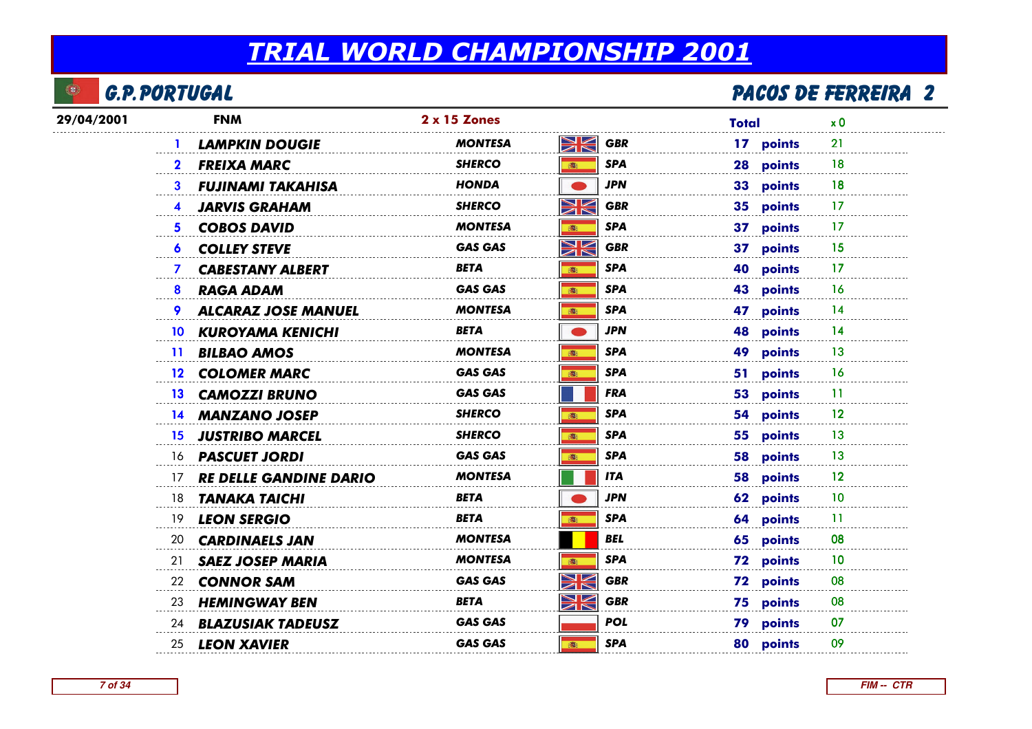

## <u>L'anno 1990 de ferreira de la partide de la partide de partide par la partide de ferreira de la partide de la p</u>

| 29/04/2001 | <b>FNM</b>                          | 2 x 15 Zones                                                                             | <b>Total</b>            | x <sub>0</sub> |
|------------|-------------------------------------|------------------------------------------------------------------------------------------|-------------------------|----------------|
|            | <b>LAMPKIN DOUGIE</b>               | NK<br>ZK<br><b>MONTESA</b>                                                               | <b>GBR</b><br>17 points | 21             |
|            | <b>FREIXA MARC</b><br>$\mathbf{2}$  | <b>SHERCO</b><br>(图)                                                                     | <b>SPA</b><br>28 points | 18             |
|            | <b>FUJINAMI TAKAHISA</b><br>3       | HONDA                                                                                    | JPN<br>33 points        | 18             |
|            | <b>JARVIS GRAHAM</b><br>4           | NK<br><b>SHERCO</b>                                                                      | <b>GBR</b><br>35 points | 17             |
|            | <b>COBOS DAVID</b><br>5.            | <b>MONTESA</b><br>高                                                                      | <b>SPA</b><br>37 points | -17            |
|            | <b>COLLEY STEVE</b><br>6            | $\blacktriangleright$ $\blacktriangleright$<br><b>GAS GAS</b><br>$\overline{\mathbb{Z}}$ | <b>GBR</b><br>37 points | 15             |
|            | <b>CABESTANY ALBERT</b><br>7        | BETA<br>(图)                                                                              | SPA<br>40 points        | 17             |
|            | <b>RAGA ADAM</b><br>8               | <b>GAS GAS</b><br>(图)                                                                    | <b>SPA</b><br>43 points | <b>16</b>      |
|            | <b>ALCARAZ JOSE MANUEL</b><br>9     | <b>MONTESA</b><br>(图)                                                                    | SPA<br>47 points        | 14             |
|            | <b>KUROYAMA KENICHI</b><br>10       | <b>BETA</b>                                                                              | <b>JPN</b><br>48 points | 14             |
|            | 11 BILBAO AMOS                      | <b>MONTESA</b>                                                                           | 49 points<br>SPA        | 13             |
|            | 12 COLOMER MARC                     | <b>GAS GAS</b>                                                                           | SPA<br>51 points        | 16             |
|            | 13 CAMOZZI BRUNO                    | <b>GAS GAS</b>                                                                           | <b>FRA</b><br>53 points | 11             |
|            | 14 MANZANO JOSEP                    | <b>SHERCO</b><br>(画)                                                                     | <b>SPA</b><br>54 points | 12             |
|            | 15 JUSTRIBO MARCEL                  | <b>SHERCO</b><br>高                                                                       | SPA<br>55 points        | -13            |
|            | 16 <b>PASCUET JORDI</b>             | <b>GAS GAS</b><br>●                                                                      | <b>SPA</b><br>58 points | 13             |
|            | <b>RE DELLE GANDINE DARIO</b><br>17 | <b>MONTESA</b>                                                                           | <b>ITA</b><br>58 points | 12             |
|            | TANAKA TAICHI<br>18                 | BETA                                                                                     | <b>JPN</b><br>62 points | 10             |
|            | 19 LEON SERGIO                      | <b>BETA</b>                                                                              | SPA<br>64 points        | 11             |
|            | 20<br><b>CARDINAELS JAN</b>         | <b>MONTESA</b>                                                                           | <b>BEL</b><br>65 points | 08             |
|            | <b>SAEZ JOSEP MARIA</b><br>21       | <b>MONTESA</b><br>(画)                                                                    | <b>SPA</b><br>72 points | 10             |
|            | <b>CONNOR SAM</b><br>22             | ↘☑<br><b>GAS GAS</b><br>ØN                                                               | <b>GBR</b><br>72 points | 08             |
|            | 23 HEMINGWAY BEN                    | NK<br>BETA                                                                               | <b>GBR</b><br>75 points | 08             |
|            | 24 <b>BLAZUSIAK TADEUSZ</b>         | <b>GAS GAS</b>                                                                           | <b>POL</b><br>79 points | 07             |
|            | 25 LEON XAVIER                      | <b>GAS GAS</b><br><b>高:</b>                                                              | SPA<br>80 points        | 09             |
|            |                                     |                                                                                          |                         |                |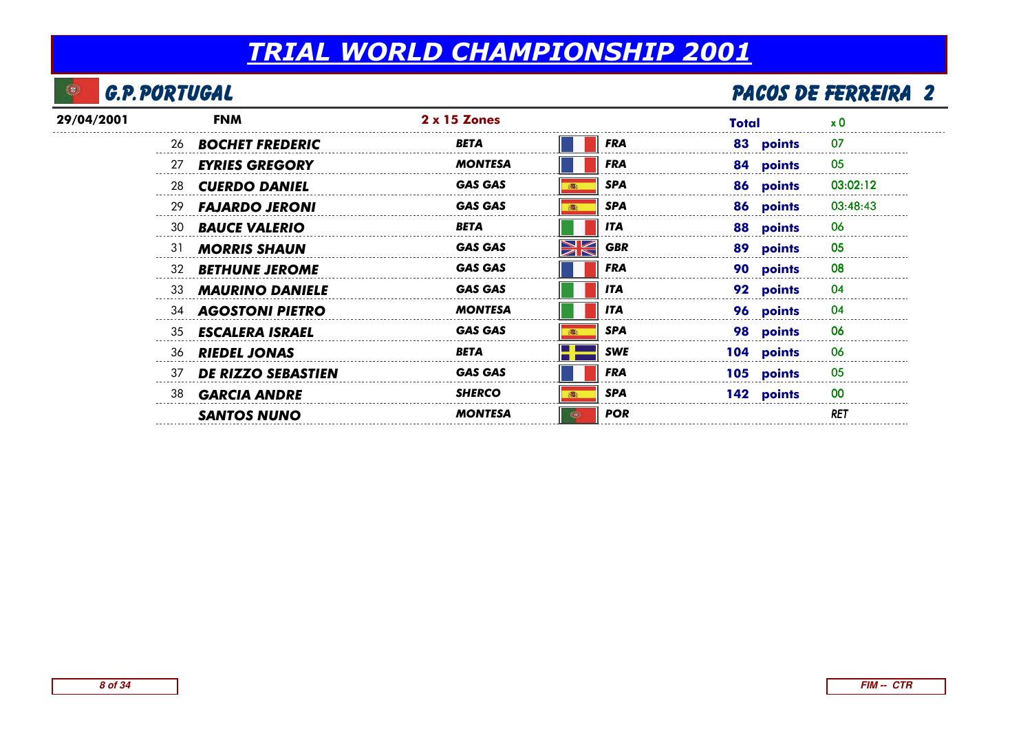#### $\bullet$ G.P.Portugal

## <u>L'anno 1990 de ferreira de la partide de la partide de partide par la partide de ferreira de la partide de la p</u>

| 29/04/2001 | <b>FNM</b>                      | $2 \times 15$ Zones                       | Total      | $\boldsymbol{\mathsf{x}}\ \boldsymbol{0}$ |
|------------|---------------------------------|-------------------------------------------|------------|-------------------------------------------|
|            | 26 <b>BOCHET FREDERIC</b>       | <b>FRA</b><br>BETA                        | 83 points  | 07                                        |
|            | <b>EYRIES GREGORY</b><br>27     | <b>MONTESA</b><br><b>FRA</b>              | 84 points  | 05                                        |
|            | 28<br><b>CUERDO DANIEL</b>      | <b>SPA</b><br><b>GAS GAS</b>              | 86 points  | 03:02:12                                  |
|            | 29<br><b>FAJARDO JERONI</b>     | <b>SPA</b><br><b>GAS GAS</b>              | 86 points  | 03:48:43                                  |
|            | <b>BAUCE VALERIO</b><br>30      | <b>BETA</b><br><b>ITA</b>                 | 88 points  | 06                                        |
|            | 31<br><b>MORRIS SHAUN</b>       | <b>NK</b><br><b>GBR</b><br><b>GAS GAS</b> | 89 points  | 05                                        |
|            | <b>BETHUNE JEROME</b><br>32     | <b>FRA</b><br><b>GAS GAS</b>              | 90 points  | 08                                        |
|            | <b>MAURINO DANIELE</b><br>33    | <b>GAS GAS</b><br><b>ITA</b>              | 92 points  | 04                                        |
|            | 34 <b>AGOSTONI PIETRO</b>       | <b>ITA</b><br><b>MONTESA</b>              | 96 points  | 04                                        |
|            | <b>ESCALERA ISRAEL</b><br>35    | <b>GAS GAS</b><br><b>SPA</b>              | 98 points  | 06                                        |
|            | 36 RIEDEL JONAS                 | <b>SWE</b><br><b>BETA</b>                 | 104 points | 06                                        |
|            | 37<br><b>DE RIZZO SEBASTIEN</b> | <b>GAS GAS</b><br><b>FRA</b>              | 105 points | 05                                        |
|            | <b>GARCIA ANDRE</b><br>38       | <b>SPA</b><br><b>SHERCO</b>               | 142 points | 00                                        |
|            | <b>SANTOS NUNO</b>              | <b>POR</b><br><b>MONTESA</b>              |            | RET                                       |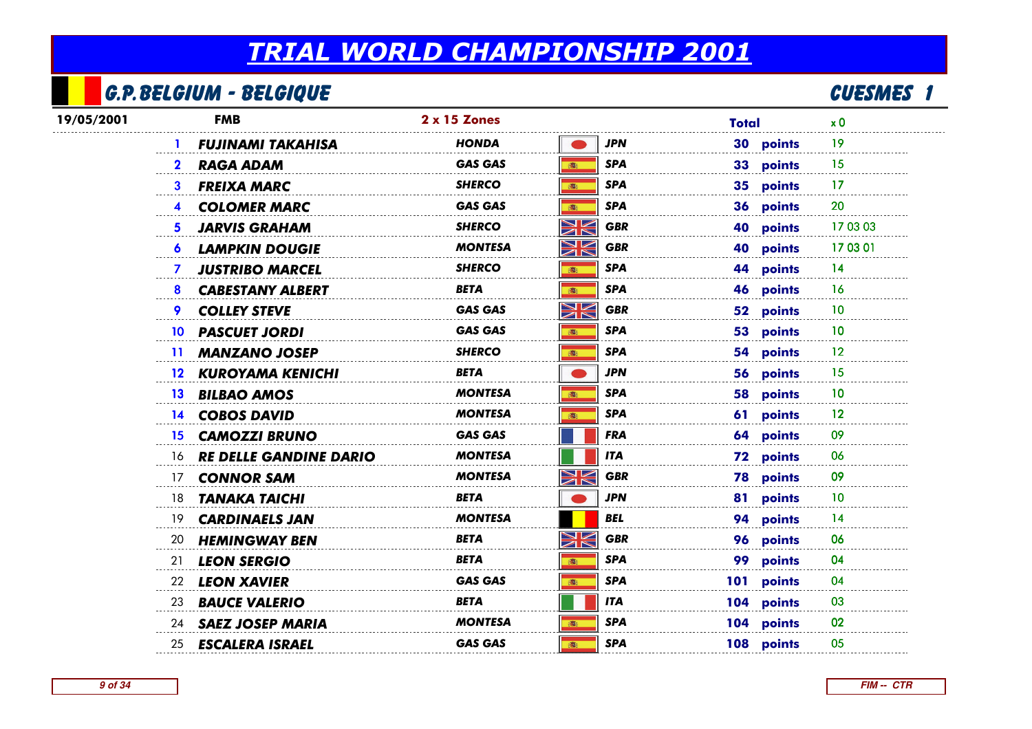## G.P.Belgium - Belgique

|            | G.P. BELGIUM - BELGIQUE                |                |                            |              | <b>CUESMES 1</b> |  |
|------------|----------------------------------------|----------------|----------------------------|--------------|------------------|--|
| 19/05/2001 | <b>FMB</b>                             | 2 x 15 Zones   |                            | <b>Total</b> | x <sub>0</sub>   |  |
|            | <b>FUJINAMI TAKAHISA</b>               | HONDA          | <b>JPN</b>                 | 30 points    | 19               |  |
|            | <b>RAGA ADAM</b>                       | <b>GAS GAS</b> | <b>SPA</b><br>高            | 33 points    | 15               |  |
|            | <b>FREIXA MARC</b><br>3                | SHERCO         | <b>SPA</b><br>高            | 35 points    | 17               |  |
|            | <b>COLOMER MARC</b><br>4               | <b>GAS GAS</b> | <b>SPA</b><br>高            | 36 points    | 20               |  |
|            | <b>JARVIS GRAHAM</b><br>5.             | <b>SHERCO</b>  | NK<br><b>GBR</b>           | 40 points    | 17 03 03         |  |
|            | <b>LAMPKIN DOUGIE</b><br>6             | <b>MONTESA</b> | XK<br><b>GBR</b>           | 40 points    | 17 03 01         |  |
|            | <b>JUSTRIBO MARCEL</b><br>$\mathbf{7}$ | <b>SHERCO</b>  | <b>SPA</b><br>高            | 44 points    | 14               |  |
|            | <b>CABESTANY ALBERT</b><br>8           | <b>BETA</b>    | <b>SPA</b><br>$\mathbb{R}$ | 46 points    | 16               |  |
|            | <b>COLLEY STEVE</b>                    | <b>GAS GAS</b> | NK<br><b>GBR</b>           | 52 points    | 10               |  |
|            | <b>PASCUET JORDI</b><br>10             | <b>GAS GAS</b> | <b>SPA</b><br>(画)          | 53 points    | 10               |  |
|            | <b>MANZANO JOSEP</b><br>$\mathbf{11}$  | SHERCO         | <b>SPA</b><br>高            | 54 points    | 12               |  |
|            | 12 KUROYAMA KENICHI                    | <b>BETA</b>    | <b>JPN</b>                 | 56 points    | 15               |  |
|            | <b>BILBAO AMOS</b><br>13 <sup>13</sup> | <b>MONTESA</b> | <b>SPA</b><br>(画)          | 58 points    | 10               |  |
|            | 14 COBOS DAVID                         | <b>MONTESA</b> | <b>SPA</b><br>(图)          | 61 points    | 12               |  |
|            | <b>CAMOZZI BRUNO</b><br>15.            | <b>GAS GAS</b> | <b>FRA</b>                 | 64 points    | 09               |  |
|            | <b>RE DELLE GANDINE DARIO</b><br>16    | <b>MONTESA</b> | <b>ITA</b>                 | 72 points    | 06               |  |
|            | <b>CONNOR SAM</b><br>17                | MONTESA        | NK<br><b>GBR</b>           | 78 points    | 09               |  |
|            | <b>TANAKA TAICHI</b><br>18             | BETA           | JPN                        | 81 points    | 10               |  |
|            | 19<br><b>CARDINAELS JAN</b>            | MONTESA        | BEL                        | 94 points    | 14               |  |
|            | <b>HEMINGWAY BEN</b><br>20             | BETA           | NK<br><b>GBR</b>           | 96 points    | 06               |  |
|            | <b>LEON SERGIO</b><br>21               | <b>BETA</b>    | <b>SPA</b><br>高            | 99 points    | 04               |  |
|            | <b>LEON XAVIER</b><br>22               | <b>GAS GAS</b> | <b>SPA</b><br>1            | 101 points   | 04               |  |
|            | 23<br><b>BAUCE VALERIO</b>             | BETA           | <b>ITA</b>                 | 104 points   | 03               |  |
|            | <b>SAEZ JOSEP MARIA</b><br>24          | <b>MONTESA</b> | <b>SPA</b><br>(卷)          | 104 points   | 02               |  |
|            | <b>ESCALERA ISRAEL</b><br>25           | <b>GAS GAS</b> | <b>SPA</b><br><b>in</b>    | 108 points   | 05               |  |
|            |                                        |                |                            |              |                  |  |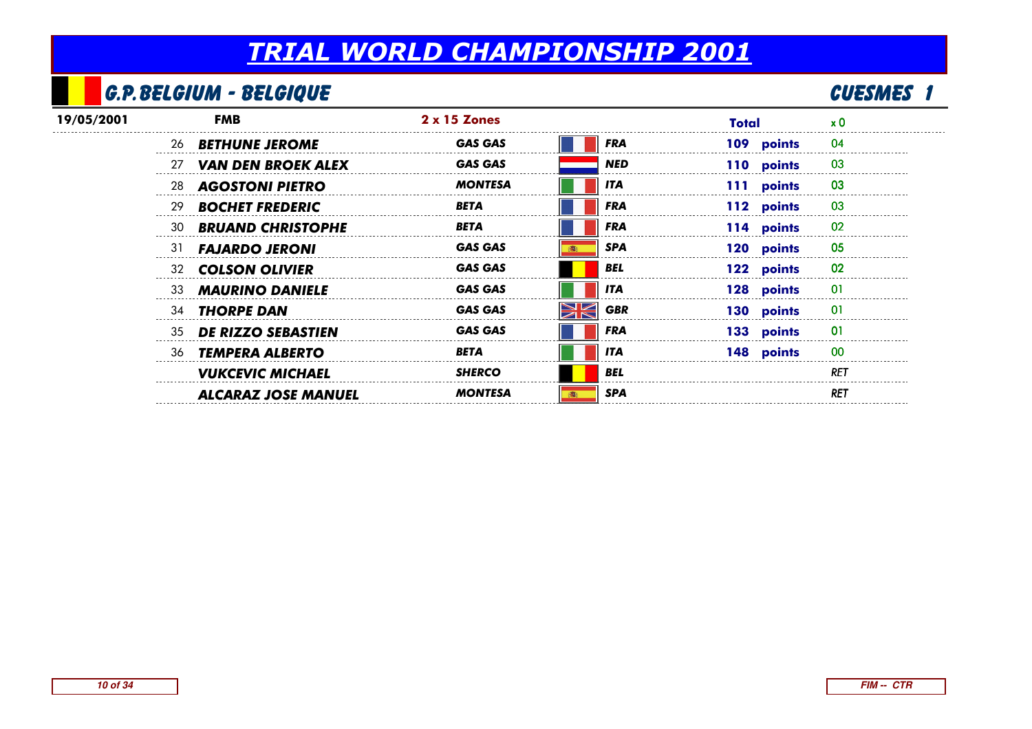## G.P.Belgium - Belgique

|            |     | G.P. BELGIUM - BELGIQUE    |                     |                 |              | <b>CUESME</b> S |
|------------|-----|----------------------------|---------------------|-----------------|--------------|-----------------|
| 19/05/2001 |     | <b>FMB</b>                 | $2 \times 15$ Zones |                 | <b>Total</b> | $\times 0$      |
|            |     | 26 <b>BETHUNE JEROME</b>   | <b>GAS GAS</b>      | <b>FRA</b>      | 109 points   | 04              |
|            | 27  | <b>VAN DEN BROEK ALEX</b>  | <b>GAS GAS</b>      | <b>NED</b>      | 110 points   | 03              |
|            | -28 | <b>AGOSTONI PIETRO</b>     | <b>MONTESA</b>      | <b>ITA</b>      | 111 points   | 03              |
|            | 29  | <b>BOCHET FREDERIC</b>     | <b>BETA</b>         | <b>FRA</b>      | 112 points   | 03              |
|            | 30  | <b>BRUAND CHRISTOPHE</b>   | <b>BETA</b>         | <b>FRA</b>      | 114 points   | 02              |
|            | 31  | <b>FAJARDO JERONI</b>      | <b>GAS GAS</b>      | <b>SPA</b>      | 120 points   | 05              |
|            | 32  | <b>COLSON OLIVIER</b>      | <b>GAS GAS</b>      | <b>BEL</b>      | 122 points   | 02              |
|            | 33  | <b>MAURINO DANIELE</b>     | <b>GAS GAS</b>      | <b>ITA</b>      | 128 points   | -01             |
|            |     | 34 <b>THORPE DAN</b>       | <b>GAS GAS</b>      | Ж<br><b>GBR</b> | 130 points   | 01              |
|            |     | 35 DE RIZZO SEBASTIEN      | <b>GAS GAS</b>      | <b>FRA</b>      | 133 points   | 01              |
|            |     | 36 TEMPERA ALBERTO         | <b>BETA</b>         | <b>ITA</b>      | 148 points   | 00              |
|            |     | <b>VUKCEVIC MICHAEL</b>    | <b>SHERCO</b>       | <b>BEL</b>      |              | <b>RET</b>      |
|            |     | <b>ALCARAZ JOSE MANUEL</b> | <b>MONTESA</b>      | <b>SPA</b>      |              | RET             |
|            |     |                            |                     |                 |              |                 |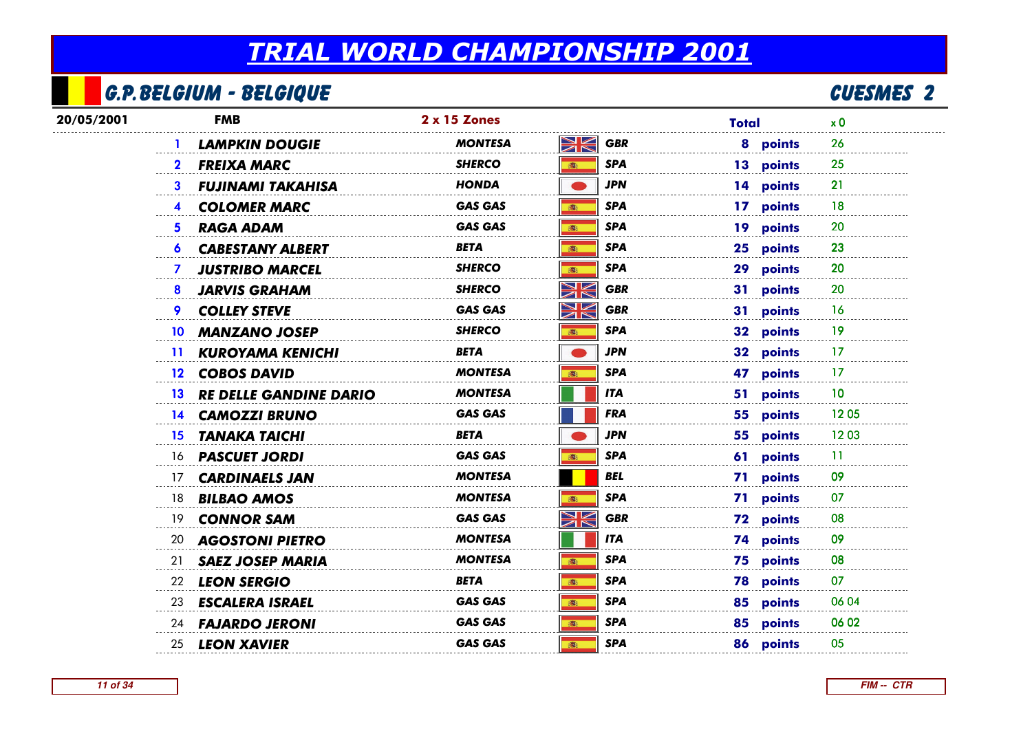## G.P.Belgium - Belgique

## <u>E</u> CUESMES 2

| 20/05/2001 | <b>FMB</b>                                       | 2 x 15 Zones                | <b>Total</b> | x <sub>0</sub>         |
|------------|--------------------------------------------------|-----------------------------|--------------|------------------------|
|            | <b>LAMPKIN DOUGIE</b>                            | NK<br>ZK<br><b>MONTESA</b>  | <b>GBR</b>   | 26<br>8 points         |
|            | <b>FREIXA MARC</b><br>$\mathbf{2}$               | <b>SHERCO</b><br>(图)        | <b>SPA</b>   | 13 points<br>25        |
|            | <b>FUJINAMI TAKAHISA</b><br>3.                   | <b>HONDA</b>                | <b>JPN</b>   | 14 points<br>21        |
|            | <b>COLOMER MARC</b>                              | <b>GAS GAS</b>              | <b>SPA</b>   | 17 points<br>18        |
|            | <b>RAGA ADAM</b><br>5.                           | <b>GAS GAS</b><br>客         | <b>SPA</b>   | 19 points<br>20        |
|            | <b>CABESTANY ALBERT</b><br>6.                    | BETA<br>(图)                 | <b>SPA</b>   | 23<br>25 points        |
|            | <b>JUSTRIBO MARCEL</b><br>$\mathcal{I}$          | <b>SHERCO</b><br>高          | <b>SPA</b>   | 20<br>29 points        |
|            | <b>JARVIS GRAHAM</b><br>8                        | XK<br><b>SHERCO</b>         | <b>GBR</b>   | 20<br>31 points        |
|            | <b>COLLEY STEVE</b>                              | XK<br><b>GAS GAS</b>        | <b>GBR</b>   | 31 points<br>16        |
|            | <b>MANZANO JOSEP</b><br>10                       | <b>SHERCO</b><br>(选)        | <b>SPA</b>   | 32 points<br>19        |
|            | <b>KUROYAMA KENICHI</b><br>$\mathbf{11}$         | <b>BETA</b>                 | <b>JPN</b>   | 32 points<br>17        |
|            | 12 COBOS DAVID                                   | <b>MONTESA</b><br>高         | <b>SPA</b>   | 47 points<br>17        |
|            | <b>RE DELLE GANDINE DARIO</b><br>13 <sup>7</sup> | <b>MONTESA</b>              | <b>ITA</b>   | 10<br>51 points        |
|            | 14 CAMOZZI BRUNO                                 | <b>GAS GAS</b>              | <b>FRA</b>   | 55 points<br>1205      |
|            | <b>TANAKA TAICHI</b><br>15.                      | <b>BETA</b>                 | <b>JPN</b>   | 1203<br>55 points      |
|            | 16 <b>PASCUET JORDI</b>                          | <b>GAS GAS</b><br><b>高:</b> | <b>SPA</b>   | 61 points<br>11        |
|            | <b>CARDINAELS JAN</b><br>17                      | <b>MONTESA</b>              | <b>BEL</b>   | 09<br>71 points        |
|            | <b>BILBAO AMOS</b><br>18                         | <b>MONTESA</b>              | <b>SPA</b>   | 71 points<br>07        |
|            | <b>CONNOR SAM</b><br>19                          | XK<br><b>GAS GAS</b>        | <b>GBR</b>   | <b>72 points</b><br>08 |
|            | 20<br><b>AGOSTONI PIETRO</b>                     | <b>MONTESA</b>              | <b>ITA</b>   | 09<br><b>74 points</b> |
|            | <b>SAEZ JOSEP MARIA</b><br>21                    | <b>MONTESA</b><br>(图)       | <b>SPA</b>   | 75 points<br>08        |
|            | <b>LEON SERGIO</b><br>22                         | <b>BETA</b><br><b>高</b>     | <b>SPA</b>   | <b>78 points</b><br>07 |
|            | 23<br><b>ESCALERA ISRAEL</b>                     | <b>GAS GAS</b><br>高         | <b>SPA</b>   | 06 04<br>85 points     |
|            | 24 <b>FAJARDO JERONI</b>                         | <b>GAS GAS</b><br>客         | <b>SPA</b>   | 85 points<br>06 02     |
|            | 25 LEON XAVIER                                   | <b>GAS GAS</b><br><b>高:</b> | <b>SPA</b>   | 86 points<br>05        |
|            |                                                  |                             |              |                        |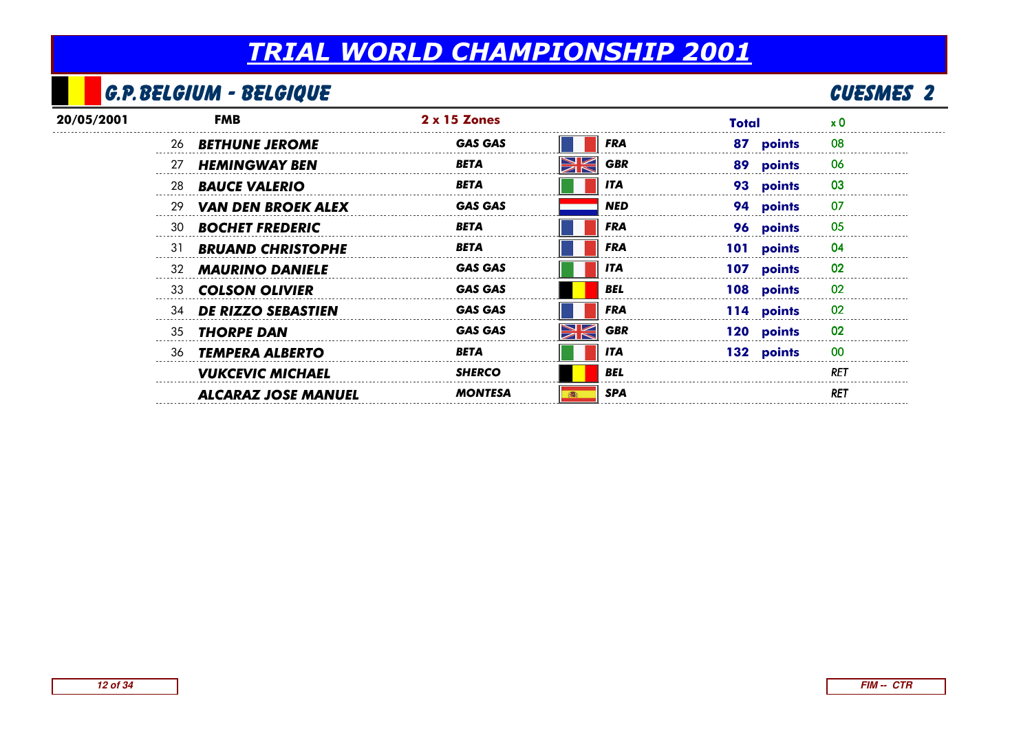### G.P.Belgium - Belgique

## <u>E</u> CUESMES 2

| 20/05/2001 |    | FMB                        | $2 \times 15$ Zones |            | Total      | x 0             |
|------------|----|----------------------------|---------------------|------------|------------|-----------------|
|            |    | 26 <b>BETHUNE JEROME</b>   | <b>GAS GAS</b>      | <b>FRA</b> | 87 points  | 08              |
|            | 27 | <b>HEMINGWAY BEN</b>       | BETA                | <b>GBR</b> | 89 points  | 06              |
|            | 28 | <b>BAUCE VALERIO</b>       | <b>BETA</b>         | <b>ITA</b> | 93 points  | 03              |
|            | 29 | <b>VAN DEN BROEK ALEX</b>  | <b>GAS GAS</b>      | <b>NED</b> | 94 points  | 07              |
|            | 30 | <b>BOCHET FREDERIC</b>     | <b>BETA</b>         | <b>FRA</b> | 96 points  | 05              |
|            | 31 | <b>BRUAND CHRISTOPHE</b>   | <b>BETA</b>         | <b>FRA</b> | 101 points | 04              |
|            | 32 | <b>MAURINO DANIELE</b>     | <b>GAS GAS</b>      | <b>ITA</b> | 107 points | 02              |
|            | 33 | <b>COLSON OLIVIER</b>      | <b>GAS GAS</b>      | <b>BEL</b> | 108 points | 02              |
|            | 34 | <b>DE RIZZO SEBASTIEN</b>  | <b>GAS GAS</b>      | <b>FRA</b> | 114 points | 02              |
|            | 35 | <b>THORPE DAN</b>          | <b>GAS GAS</b>      | <b>GBR</b> | 120 points | 02              |
|            | 36 | <b>TEMPERA ALBERTO</b>     | <b>BETA</b>         | <b>ITA</b> | 132 points | 00              |
|            |    | <b>VUKCEVIC MICHAEL</b>    | <b>SHERCO</b>       | <b>BEL</b> |            | RET             |
|            |    | <b>ALCARAZ JOSE MANUEL</b> | <b>MONTESA</b>      | <b>SPA</b> |            | RE <sub>1</sub> |
|            |    |                            |                     |            |            |                 |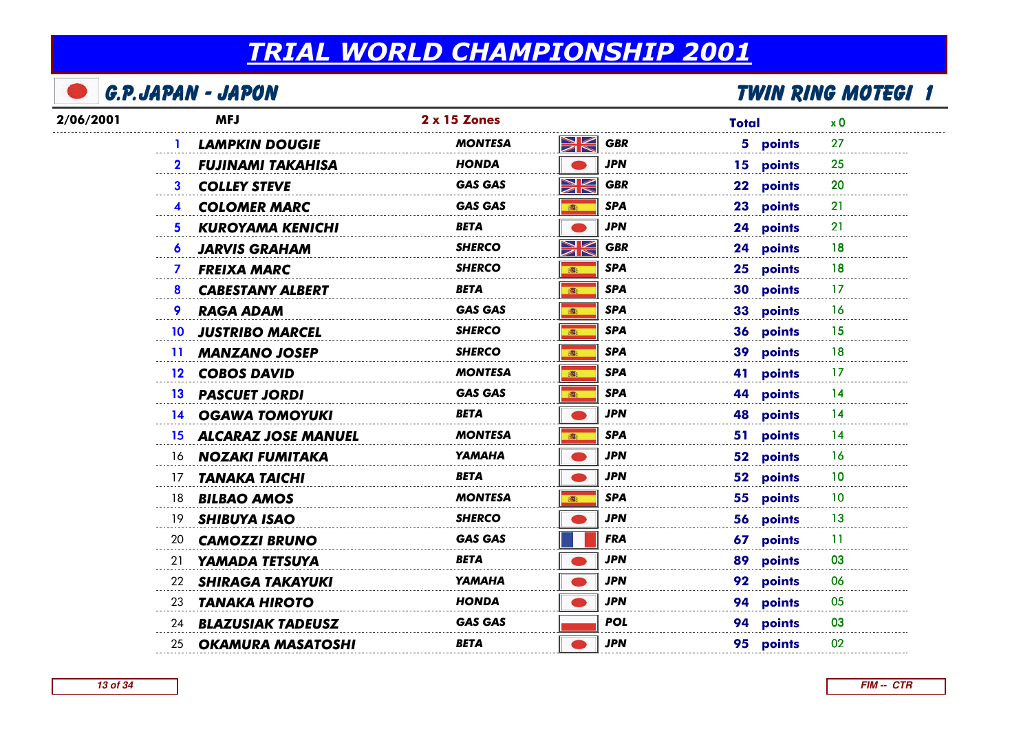|           | <b>G.P.JAPAN - JAPON</b>                |                |                   | TWIN RING MOTEGI 1             |  |
|-----------|-----------------------------------------|----------------|-------------------|--------------------------------|--|
| 2/06/2001 | <b>MFJ</b>                              | 2 x 15 Zones   |                   | <b>Total</b><br>x <sub>0</sub> |  |
|           | <b>LAMPKIN DOUGIE</b>                   | MONTESA        | Ж<br><b>GBR</b>   | 5 points<br>27                 |  |
|           | <b>FUJINAMI TAKAHISA</b>                | HONDA          | <b>JPN</b>        | 25<br>15 points                |  |
|           | <b>COLLEY STEVE</b><br>3                | <b>GAS GAS</b> | XK<br><b>GBR</b>  | 20<br>22 points                |  |
|           | <b>COLOMER MARC</b><br>4                | GAS GAS        | <b>SPA</b><br>高   | 23 points<br>21                |  |
|           | <b>KUROYAMA KENICHI</b><br>5.           | BETA           | JPN               | 21<br>24 points                |  |
|           | <b>JARVIS GRAHAM</b><br>$\bullet$       | SHERCO         | XK<br><b>GBR</b>  | 24 points<br>18                |  |
|           | <b>FREIXA MARC</b><br>7.                | SHERCO         | <b>SPA</b><br>6   | 25 points<br>18                |  |
|           | <b>CABESTANY ALBERT</b><br>8            | BETA           | <b>SPA</b><br>高   | 30 points<br>17                |  |
|           | <b>RAGA ADAM</b><br>9                   | GAS GAS        | <b>SPA</b><br>高   | 33 points<br>16                |  |
|           | <b>JUSTRIBO MARCEL</b><br>10            | <b>SHERCO</b>  | <b>SPA</b><br>(画) | 36 points<br>15                |  |
|           | <b>MANZANO JOSEP</b><br>$\mathbf{11}$   | SHERCO         | <b>SPA</b><br>高   | 18<br>39 points                |  |
|           | 12 COBOS DAVID                          | <b>MONTESA</b> | <b>SPA</b><br>高   | 17<br>41 points                |  |
|           | <b>PASCUET JORDI</b><br>13 <sup>°</sup> | <b>GAS GAS</b> | <b>SPA</b><br>(图) | 44 points<br>14                |  |
|           | <b>14 OGAWA TOMOYUKI</b>                | <b>BETA</b>    | <b>JPN</b>        | 48 points<br>14                |  |
|           | <b>ALCARAZ JOSE MANUEL</b><br>15        | <b>MONTESA</b> | <b>SPA</b><br>高   | 51 points<br>14                |  |
|           | NOZAKI FUMITAKA<br>16                   | <b>YAMAHA</b>  | <b>JPN</b>        | 52 points<br>16                |  |
|           | <b>TANAKA TAICHI</b><br>17              | BETA           | <b>JPN</b>        | 52 points<br>10                |  |
|           | <b>BILBAO AMOS</b><br>18                | <b>MONTESA</b> | <b>SPA</b><br>高   | 55 points<br>10                |  |
|           | 19<br><b>SHIBUYA ISAO</b>               | <b>SHERCO</b>  | JPN               | 56 points<br>13                |  |
|           | 20<br><b>CAMOZZI BRUNO</b>              | <b>GAS GAS</b> | <b>FRA</b>        | 67 points<br>-11               |  |
|           | YAMADA TETSUYA<br>21                    | BETA           | <b>JPN</b>        | 89 points<br>03                |  |
|           | <b>SHIRAGA TAKAYUKI</b><br>22           | YAMAHA         | JPN               | 92 points<br>06                |  |
|           | <b>TANAKA HIROTO</b><br>23              | <b>HONDA</b>   | JPN               | 94 points<br>05                |  |
|           | <b>BLAZUSIAK TADEUSZ</b><br>24          | <b>GAS GAS</b> | <b>POL</b>        | 94 points<br>03                |  |
|           | <b>OKAMURA MASATOSHI</b><br>25          | <b>BETA</b>    | <b>JPN</b>        | 95 points<br>02                |  |
|           |                                         |                |                   |                                |  |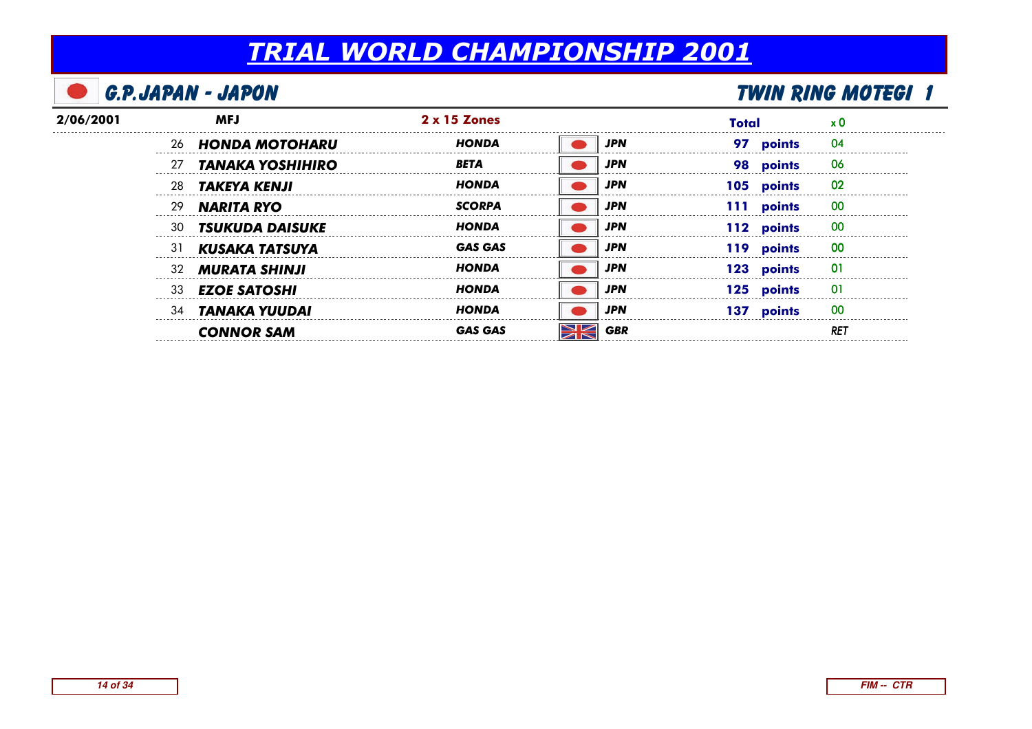| <b>G.P.JAPAN - JAPON</b> |     |                         |                     |  |            |       | <b>TWIN RING MOTEGI 1</b> |                         |  |
|--------------------------|-----|-------------------------|---------------------|--|------------|-------|---------------------------|-------------------------|--|
| 2/06/2001                |     | <b>MFJ</b>              | $2 \times 15$ Zones |  |            | Total |                           |                         |  |
|                          |     | 26 HONDA MOTOHARU       | HONDA               |  | <b>JPN</b> |       | 97 points                 | 04                      |  |
|                          | 27  | <b>TANAKA YOSHIHIRO</b> | <b>BETA</b>         |  | <b>JPN</b> |       | 98 points                 | 06                      |  |
|                          | 28  | TAKEYA KENJI            | HONDA               |  | <b>JPN</b> |       | 105 points                | 02                      |  |
|                          | 29  | <b>NARITA RYO</b>       | <b>SCORPA</b>       |  | <b>JPN</b> |       | 111 points                | 00                      |  |
|                          | -30 | <b>TSUKUDA DAISUKE</b>  | HONDA               |  | <b>JPN</b> |       | 112 points                | 00                      |  |
|                          | -31 | KUSAKA TATSUYA          | GAS GAS             |  | <b>JPN</b> |       | 119 points                | 00                      |  |
|                          |     | 32 <b>MURATA SHINJI</b> | HONDA               |  | <b>JPN</b> |       | 123 points                |                         |  |
|                          | 33  | <b>EZOE SATOSHI</b>     | <b>HONDA</b>        |  | <b>JPN</b> |       | 125 points                | ----------------------- |  |
|                          | 34  | TANAKA YUUDAI           | HONDA               |  | JPN        |       | 137 points                | -00                     |  |
|                          |     | <b>CONNOR SAM</b>       |                     |  | <b>GBR</b> |       |                           | RE.                     |  |
|                          |     |                         |                     |  |            |       |                           |                         |  |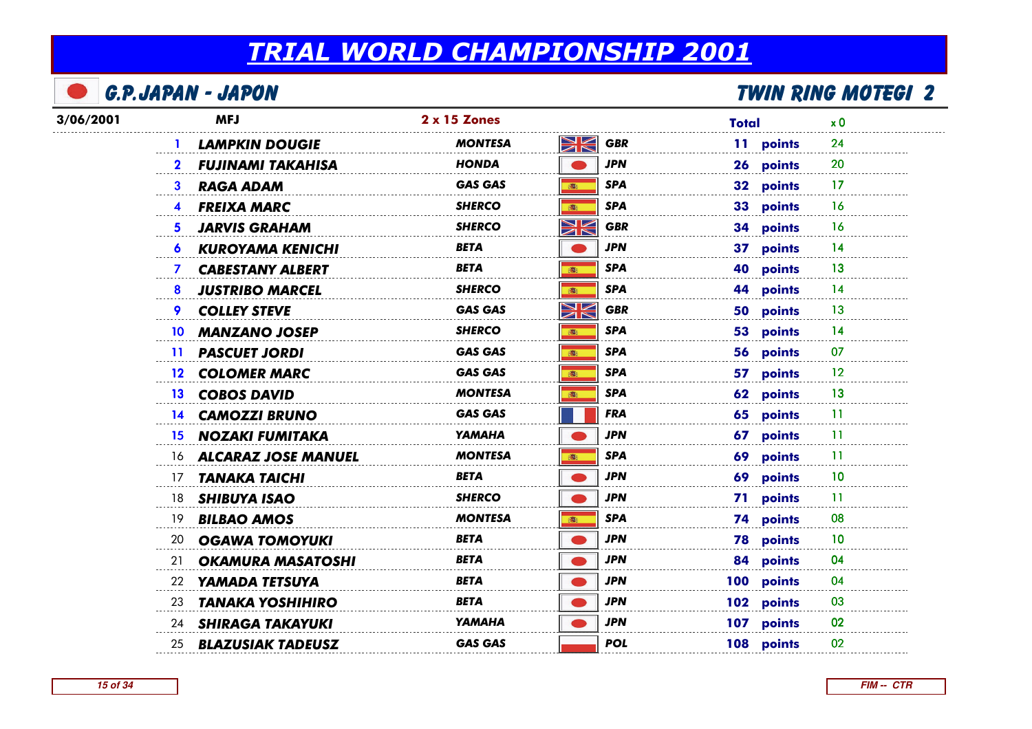|           | <b>G.P.JAPAN - JAPON</b>                      |                |                        |              | <b>TWIN RING MOTEGI 2</b> |
|-----------|-----------------------------------------------|----------------|------------------------|--------------|---------------------------|
| 3/06/2001 | <b>MFJ</b>                                    | 2 x 15 Zones   |                        | <b>Total</b> | x <sub>0</sub>            |
|           | <b>LAMPKIN DOUGIE</b>                         | MONTESA        | Ж<br><b>GBR</b>        | 11 points    | 24                        |
|           | <b>FUJINAMI TAKAHISA</b>                      | HONDA          | <b>JPN</b>             | 26 points    | 20                        |
|           | <b>RAGA ADAM</b><br>3                         | <b>GAS GAS</b> | <b>SPA</b><br><b>图</b> | 32 points    | 17                        |
|           | <b>FREIXA MARC</b><br>$\overline{\mathbf{4}}$ | <b>SHERCO</b>  | <b>SPA</b><br>高        | 33 points    | 16                        |
|           | <b>JARVIS GRAHAM</b><br>5.                    | <b>SHERCO</b>  | NK<br>ZK<br><b>GBR</b> | 34 points    | 16                        |
|           | <b>KUROYAMA KENICHI</b>                       | <b>BETA</b>    | <b>JPN</b>             | 37 points    | 14                        |
|           | <b>CABESTANY ALBERT</b><br>$\mathcal{I}$      | BETA           | <b>SPA</b><br>高        | 40 points    | 13                        |
|           | <b>JUSTRIBO MARCEL</b><br>8                   | <b>SHERCO</b>  | <b>SPA</b><br>露        | 44 points    | 14                        |
|           | <b>COLLEY STEVE</b>                           | <b>GAS GAS</b> | NK<br><b>GBR</b>       | 50 points    | 13                        |
|           | <b>MANZANO JOSEP</b><br>10                    | <b>SHERCO</b>  | <b>SPA</b><br>高        | 53 points    | $\overline{14}$           |
|           | <b>PASCUET JORDI</b><br>11.                   | <b>GAS GAS</b> | SPA<br>高:              | 56 points    | 07                        |
|           | 12 COLOMER MARC                               | <b>GAS GAS</b> | <b>SPA</b><br>高:       | 57 points    | 12                        |
|           | <b>COBOS DAVID</b><br>13.                     | MONTESA        | <b>SPA</b><br>高        | 62 points    | 13                        |
|           | 14 CAMOZZI BRUNO                              | <b>GAS GAS</b> | <b>FRA</b>             | 65 points    | 11                        |
|           | <b>15 NOZAKI FUMITAKA</b>                     | <b>YAMAHA</b>  | <b>JPN</b>             | 67 points    | 11                        |
|           | 16 ALCARAZ JOSE MANUEL                        | <b>MONTESA</b> | <b>SPA</b><br>都        | 69 points    | 11                        |
|           | <b>TANAKA TAICHI</b><br>17                    | <b>BETA</b>    | <b>JPN</b>             | 69 points    | 10                        |
|           | <b>SHIBUYA ISAO</b><br>18                     | <b>SHERCO</b>  | JPN                    | 71 points    | 11                        |
|           | 19<br><b>BILBAO AMOS</b>                      | <b>MONTESA</b> | <b>SPA</b><br>高        | 74 points    | 08                        |
|           | <b>OGAWA TOMOYUKI</b><br>20                   | BETA           | <b>JPN</b>             | 78 points    | 10                        |
|           | <b>OKAMURA MASATOSHI</b><br>21                | BETA           | JPN                    | 84 points    | 04                        |
|           | 22<br>YAMADA TETSUYA                          | <b>BETA</b>    | <b>JPN</b>             | 100 points   | 04                        |
|           | <b>TANAKA YOSHIHIRO</b><br>23                 | <b>BETA</b>    | <b>JPN</b>             | 102 points   | 03                        |
|           | 24 SHIRAGA TAKAYUKI                           | <b>YAMAHA</b>  | <b>JPN</b>             | 107 points   | 02                        |
|           | <b>BLAZUSIAK TADEUSZ</b><br>25                | <b>GAS GAS</b> | <b>POL</b>             | 108 points   | 02                        |
|           |                                               |                |                        |              |                           |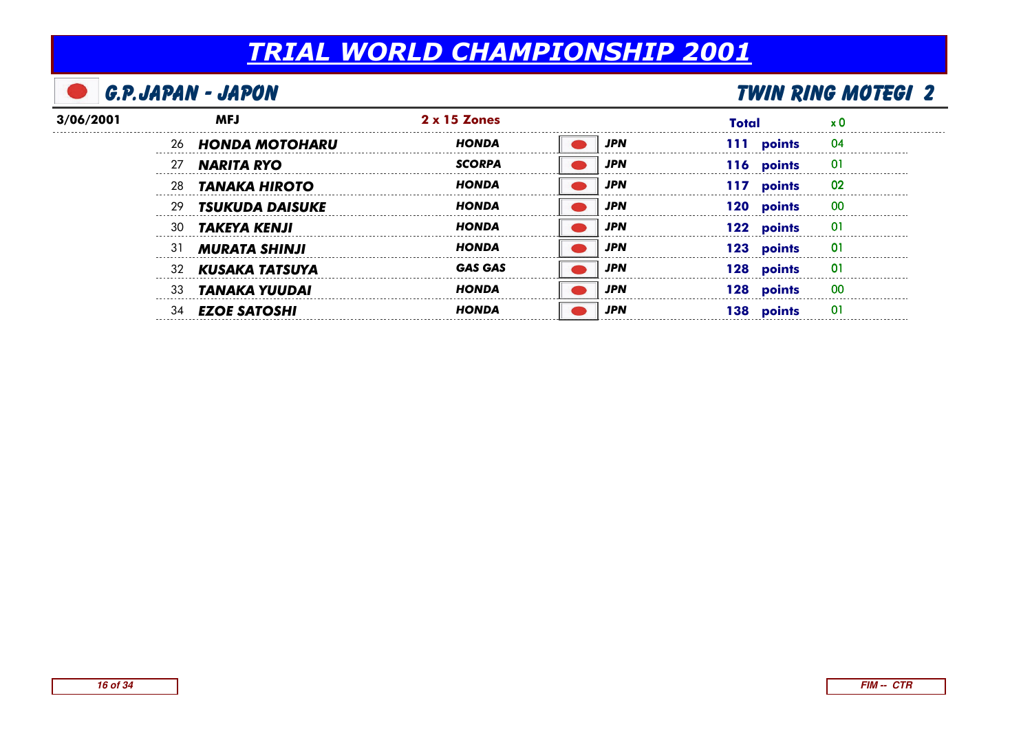| G.P.JAPAN - JAPON |     |                        | <b>TWIN RING MOTEGI 2</b> |            |               |    |  |
|-------------------|-----|------------------------|---------------------------|------------|---------------|----|--|
| 3/06/2001         |     | <b>MFJ</b>             | $2 \times 15$ Zones       |            | Total         |    |  |
|                   | -26 | HONDA MOTOHARU         | <b>HONDA</b>              | <b>JPN</b> | 111 points    | 04 |  |
|                   |     | <b>NARITA RYO</b>      | <b>SCORPA</b>             | JPN        | 116 points    | 01 |  |
|                   | 28  | <b>TANAKA HIROTO</b>   | <b>HONDA</b>              | JPN        | points<br>117 | 02 |  |
|                   | 29  | <b>TSUKUDA DAISUKE</b> | HONDA                     | JPN        | points<br>120 | 00 |  |
|                   | 30  | <b>TAKEYA KENJI</b>    | <b>HONDA</b>              | <b>JPN</b> | 122 points    | 01 |  |
|                   | 31  | <b>MURATA SHINJI</b>   | <b>HONDA</b>              | JPN        | 123 points    | 01 |  |
|                   | 32  | KUSAKA TATSUYA         | <b>GAS GAS</b>            | JPN        | 128 points    |    |  |
|                   | 33  | TANAKA YUUDAI          | HONDA                     | <b>JPN</b> | 128 points    | 00 |  |
|                   | 34  | <b>EZOE SATOSHI</b>    | HONDA                     | JPN        | 138 points    | O1 |  |
|                   |     |                        |                           |            |               |    |  |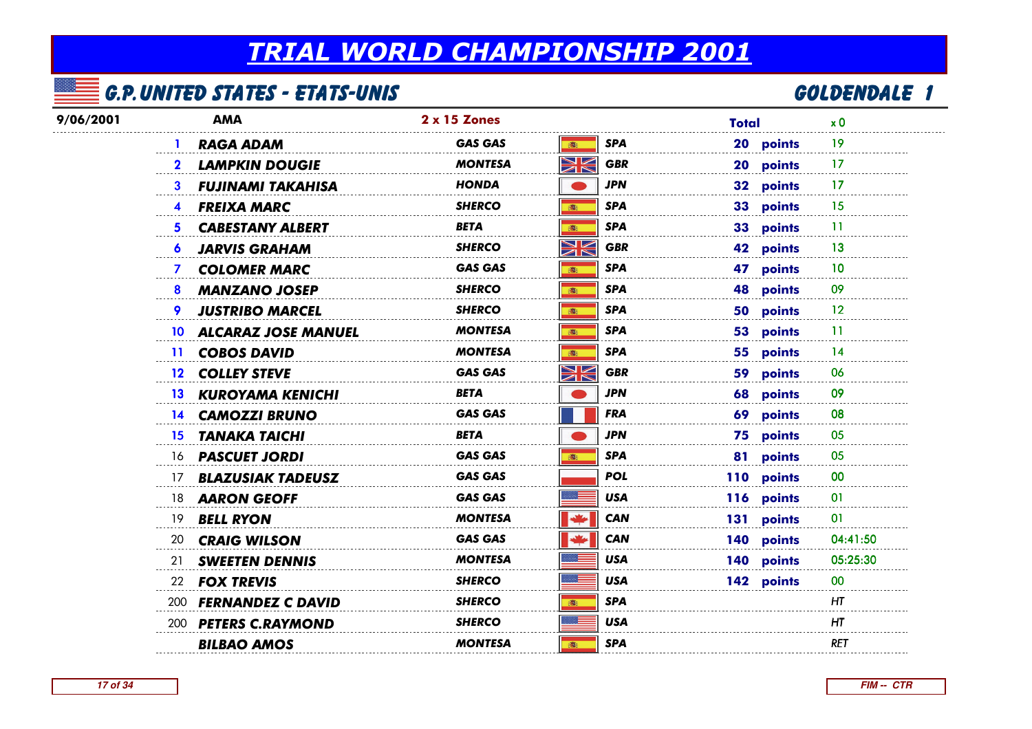## G.P.United States - Etats-Unis

## <u>5 GOLDENDALE 1</u>

| 9/06/2001 | <b>AMA</b>                            | 2 x 15 Zones                                                       | Total                    | x <sub>0</sub>  |
|-----------|---------------------------------------|--------------------------------------------------------------------|--------------------------|-----------------|
|           | <b>RAGA ADAM</b>                      | <b>GAS GAS</b><br>16:                                              | <b>SPA</b><br>20 points  | 19              |
|           | <b>LAMPKIN DOUGIE</b><br>$\mathbf{2}$ | NK<br>ZK<br><b>MONTESA</b>                                         | <b>GBR</b><br>20 points  | 17              |
|           | <b>FUJINAMI TAKAHISA</b><br>3         | <b>HONDA</b>                                                       | <b>JPN</b><br>32 points  | -17             |
|           | <b>FREIXA MARC</b><br>4               | <b>SHERCO</b><br>高                                                 | <b>SPA</b><br>33 points  | 15              |
|           | <b>CABESTANY ALBERT</b><br>5.         | <b>BETA</b><br>高                                                   | <b>SPA</b><br>33 points  | 11              |
|           | <b>JARVIS GRAHAM</b><br>6             | $\blacktriangleright$<br><b>SHERCO</b><br>$\blacksquare$           | <b>GBR</b><br>42 points  | 13              |
|           | <b>COLOMER MARC</b><br>7              | <b>GAS GAS</b><br>(图)                                              | <b>SPA</b><br>47 points  | 10              |
|           | <b>MANZANO JOSEP</b><br>8             | <b>SHERCO</b><br>(图)                                               | <b>SPA</b><br>48 points  | 09              |
|           | <b>JUSTRIBO MARCEL</b><br>9.          | <b>SHERCO</b><br>(画)                                               | <b>SPA</b><br>50 points  | 12              |
|           | 10 ALCARAZ JOSE MANUEL                | <b>MONTESA</b><br>16:                                              | <b>SPA</b><br>53 points  | 11              |
|           | 11 COBOS DAVID                        | <b>MONTESA</b><br>高                                                | <b>SPA</b><br>55 points  | 14              |
|           | 12 COLLEY STEVE                       | $\blacktriangleright$<br><b>GAS GAS</b><br>$\overline{\mathbb{Z}}$ | <b>GBR</b><br>59 points  | 06              |
|           | <b>13 KUROYAMA KENICHI</b>            | BETA                                                               | JPN<br>68 points         | 09              |
|           | 14 CAMOZZI BRUNO                      | <b>GAS GAS</b>                                                     | <b>FRA</b><br>69 points  | 08              |
|           | <b>TANAKA TAICHI</b><br>15            | <b>BETA</b>                                                        | <b>JPN</b><br>75 points  | 05              |
|           | 16 <b>PASCUET JORDI</b>               | <b>GAS GAS</b><br><b>高:</b>                                        | <b>SPA</b><br>81 points  | 05              |
|           | <b>BLAZUSIAK TADEUSZ</b><br>17        | <b>GAS GAS</b>                                                     | <b>POL</b><br>110 points | 00              |
|           | <b>AARON GEOFF</b><br>18              | <b>GAS GAS</b>                                                     | <b>USA</b><br>116 points | 01              |
|           | <b>BELL RYON</b><br>19                | <b>MONTESA</b>                                                     | 131 points<br><b>CAN</b> | 01              |
|           | 20<br><b>CRAIG WILSON</b>             | <b>GAS GAS</b>                                                     | <b>CAN</b><br>140 points | 04:41:50        |
|           | <b>SWEETEN DENNIS</b><br>21           | <b>MONTESA</b>                                                     | <b>USA</b><br>140 points | 05:25:30        |
|           | <b>FOX TREVIS</b><br>22               | <b>SHERCO</b>                                                      | <b>USA</b><br>142 points | 00 <sup>°</sup> |
|           | 200 FERNANDEZ C DAVID                 | <b>SHERCO</b><br>(图)                                               | <b>SPA</b>               | ΗT              |
|           | 200 PETERS C.RAYMOND                  | <b>SHERCO</b>                                                      | <b>USA</b>               | HT              |
|           | <b>BILBAO AMOS</b>                    | <b>MONTESA</b><br><b>高:</b>                                        | <b>SPA</b>               | <b>RET</b>      |
|           |                                       |                                                                    |                          |                 |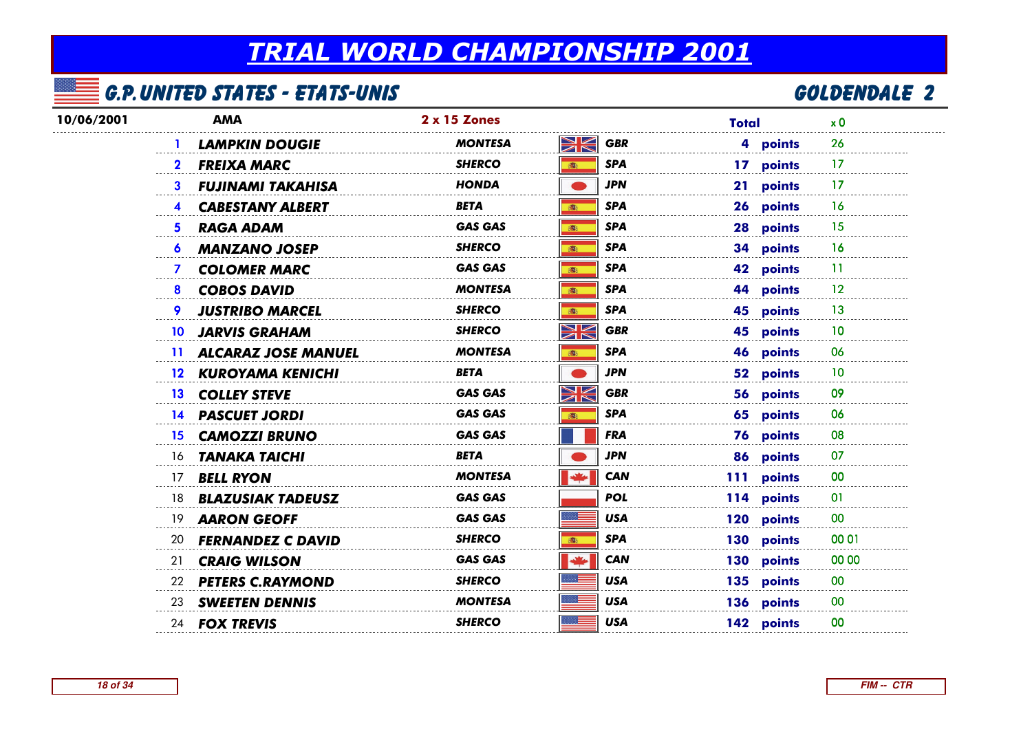## G.P.United States - Etats-Unis

## <u>2 GOLDENDALE</u> 2

| 10/06/2001 | <b>AMA</b>                              | 2 x 15 Zones   |                                                                                    | Total      | x <sub>0</sub> |
|------------|-----------------------------------------|----------------|------------------------------------------------------------------------------------|------------|----------------|
|            | <b>LAMPKIN DOUGIE</b>                   | <b>MONTESA</b> | XK<br><b>GBR</b>                                                                   | 4 points   | 26             |
|            | <b>FREIXA MARC</b><br>$\mathbf{2}$      | <b>SHERCO</b>  | <b>SPA</b><br>$\mathbf{B}_1$                                                       | 17 points  | 17             |
|            | 3<br><b>FUJINAMI TAKAHISA</b>           | <b>HONDA</b>   | <b>JPN</b>                                                                         | 21 points  | 17             |
|            | <b>CABESTANY ALBERT</b><br>4            | <b>BETA</b>    | <b>SPA</b><br>(画)                                                                  | 26 points  | 16             |
|            | 5<br><b>RAGA ADAM</b>                   | <b>GAS GAS</b> | <b>SPA</b><br>高                                                                    | 28 points  | -15            |
|            | <b>MANZANO JOSEP</b><br>6               | <b>SHERCO</b>  | <b>SPA</b><br>(图)                                                                  | 34 points  | 16             |
|            | <b>COLOMER MARC</b><br>7                | <b>GAS GAS</b> | <b>SPA</b><br>(图)                                                                  | 42 points  | -11            |
|            | <b>COBOS DAVID</b><br>8                 | <b>MONTESA</b> | <b>SPA</b><br>高                                                                    | 44 points  | 12             |
|            | 9<br><b>JUSTRIBO MARCEL</b>             | <b>SHERCO</b>  | <b>SPA</b><br>图                                                                    | 45 points  | 13             |
|            | <b>JARVIS GRAHAM</b><br>10 <sup>1</sup> | <b>SHERCO</b>  | $\blacktriangleright$ $\blacktriangleright$<br><b>GBR</b><br>$\blacktriangleright$ | 45 points  | 10             |
|            | 11 ALCARAZ JOSE MANUEL                  | <b>MONTESA</b> | <b>SPA</b><br>(画)                                                                  | 46 points  | 06             |
|            | 12 KUROYAMA KENICHI                     | <b>BETA</b>    | <b>JPN</b>                                                                         | 52 points  | 10             |
|            | 13 COLLEY STEVE                         | <b>GAS GAS</b> | V<br><b>GBR</b><br>$\overline{\mathbb{Z}}$                                         | 56 points  | 09             |
|            | 14 PASCUET JORDI                        | <b>GAS GAS</b> | <b>SPA</b><br>高                                                                    | 65 points  | 06             |
|            | <b>CAMOZZI BRUNO</b><br>15.             | <b>GAS GAS</b> | <b>FRA</b>                                                                         | 76 points  | 08             |
|            | 16 <b>TANAKA TAICHI</b>                 | <b>BETA</b>    | <b>JPN</b>                                                                         | 86 points  | 07             |
|            | 17 <b>BELL RYON</b>                     | <b>MONTESA</b> | ≝<br><b>CAN</b>                                                                    | 111 points | 00             |
|            | 18 <b>BLAZUSIAK TADEUSZ</b>             | <b>GAS GAS</b> | <b>POL</b>                                                                         | 114 points | 01             |
|            | <b>AARON GEOFF</b><br>19                | <b>GAS GAS</b> | <b>USA</b>                                                                         | 120 points | 00             |
|            | 20 <b>FERNANDEZ C DAVID</b>             | <b>SHERCO</b>  | <b>SPA</b><br>高                                                                    | 130 points | 00 01          |
|            | <b>CRAIG WILSON</b><br>21               | <b>GAS GAS</b> | $\frac{1}{2}$<br><b>CAN</b>                                                        | 130 points | 00 00          |
|            | 22 PETERS C.RAYMOND                     | <b>SHERCO</b>  | <b>USA</b>                                                                         | 135 points | 00             |
|            | 23 SWEETEN DENNIS                       | <b>MONTESA</b> | <b>USA</b>                                                                         | 136 points | 00             |
|            | 24 <b>FOX TREVIS</b>                    | <b>SHERCO</b>  | <b>USA</b>                                                                         | 142 points | 00             |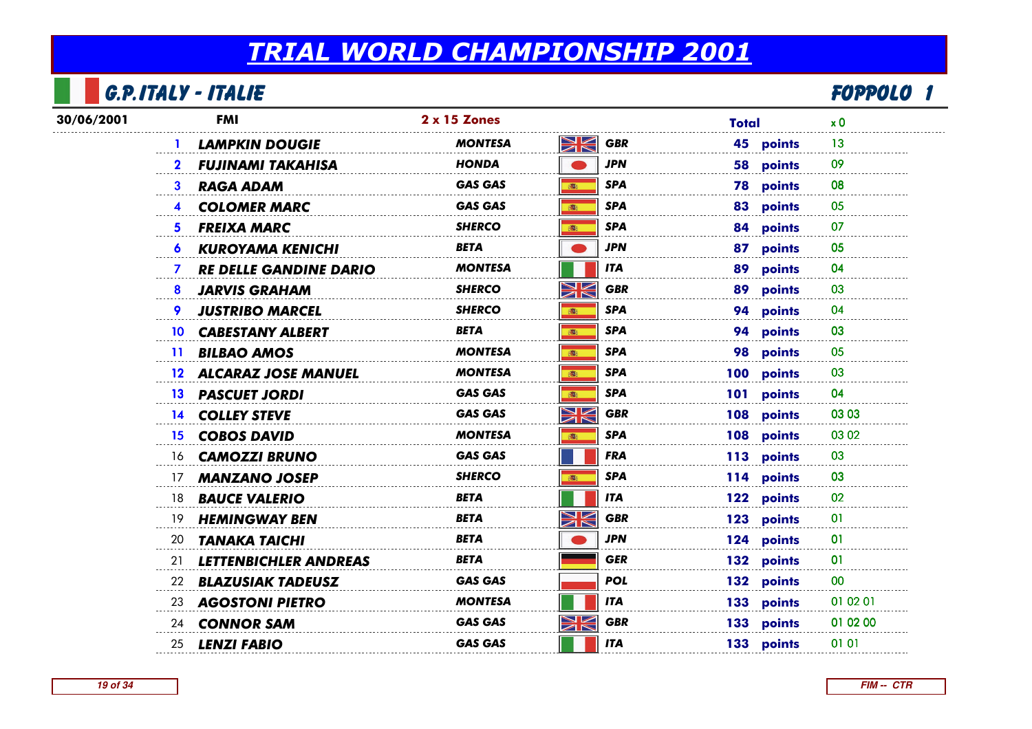## G.P.Italy - Italie

|            | <b>G.P.ITALY - ITALIE</b>                     |                |                           |                  | FOPPOLO 1      |  |
|------------|-----------------------------------------------|----------------|---------------------------|------------------|----------------|--|
| 30/06/2001 | <b>FMI</b>                                    | 2 x 15 Zones   |                           | <b>Total</b>     | x <sub>0</sub> |  |
|            | <b>LAMPKIN DOUGIE</b>                         | MONTESA        | Ж<br><b>GBR</b>           | 45 points        | 13             |  |
|            | <b>FUJINAMI TAKAHISA</b>                      | <b>HONDA</b>   | JPN                       | 58 points        | 09             |  |
|            | <b>RAGA ADAM</b><br>3                         | GAS GAS        | <b>SPA</b><br>高:          | <b>78 points</b> | 08             |  |
|            | <b>COLOMER MARC</b><br>$\overline{4}$         | <b>GAS GAS</b> | <b>SPA</b><br>16:         | 83 points        | 05             |  |
|            | <b>FREIXA MARC</b><br>5.                      | <b>SHERCO</b>  | <b>SPA</b><br>高           | 84 points        | 07             |  |
|            | <b>KUROYAMA KENICHI</b><br>$\bullet$          | BETA           | <b>JPN</b>                | 87 points        | 05             |  |
|            | <b>RE DELLE GANDINE DARIO</b><br>$\mathbf{7}$ | <b>MONTESA</b> | <b>ITA</b>                | 89 points        | 04             |  |
|            | <b>JARVIS GRAHAM</b><br>8                     | <b>SHERCO</b>  | WK<br><b>GBR</b>          | 89 points        | 03             |  |
|            | <b>JUSTRIBO MARCEL</b>                        | <b>SHERCO</b>  | <b>SPA</b><br>高           | 94 points        | 04             |  |
|            | <b>CABESTANY ALBERT</b><br>10                 | BETA           | <b>SPA</b><br>(画)         | 94 points        | 03             |  |
|            | <b>BILBAO AMOS</b><br>11.                     | <b>MONTESA</b> | <b>SPA</b><br>高:          | 98 points        | 05             |  |
|            | 12 ALCARAZ JOSE MANUEL                        | <b>MONTESA</b> | <b>SPA</b><br>高           | 100 points       | 03             |  |
|            | 13 PASCUET JORDI                              | <b>GAS GAS</b> | <b>SPA</b><br>高           | 101 points       | 04             |  |
|            | 14 COLLEY STEVE                               | <b>GAS GAS</b> | $\geqslant$<br><b>GBR</b> | 108 points       | 03 03          |  |
|            | 15 COBOS DAVID                                | <b>MONTESA</b> | <b>SPA</b><br>(图)         | 108 points       | 03 02          |  |
|            | <b>CAMOZZI BRUNO</b><br>16.                   | <b>GAS GAS</b> | <b>FRA</b>                | 113 points       | 03             |  |
|            | <b>MANZANO JOSEP</b><br>17                    | <b>SHERCO</b>  | <b>SPA</b><br>(图)         | 114 points       | 03             |  |
|            | 18<br><b>BAUCE VALERIO</b>                    | BETA           | ITA                       | 122 points       | 02             |  |
|            | <b>HEMINGWAY BEN</b><br>19                    | BETA           | W<br><b>GBR</b>           | 123 points       | 01             |  |
|            | <b>TANAKA TAICHI</b><br>20                    | BETA           | JPN                       | 124 points       | 01             |  |
|            | LETTENBICHLER ANDREAS<br>21                   | BETA           | <b>GER</b>                | 132 points       | 01             |  |
|            | <b>BLAZUSIAK TADEUSZ</b><br>22                | <b>GAS GAS</b> | POL                       | 132 points       | 00             |  |
|            | <b>AGOSTONI PIETRO</b><br>23                  | MONTESA        | <b>ITA</b>                | 133 points       | 01 02 01       |  |
|            | 24 <b>CONNOR SAM</b>                          | <b>GAS GAS</b> | NK<br>ZK<br><b>GBR</b>    | 133 points       | 01 02 00       |  |
|            | 25<br><b>LENZI FABIO</b>                      | <b>GAS GAS</b> | <b>ITA</b>                | 133 points       | 01 01          |  |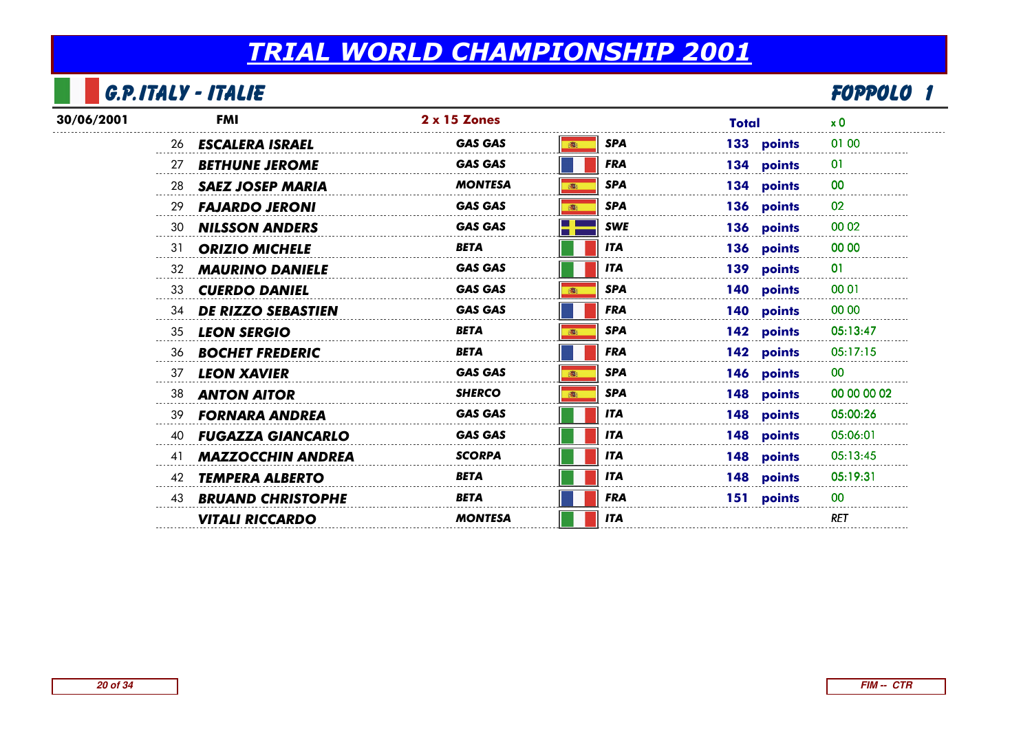#### G.P.Italy - Italie

|            | <b>G.P.ITALY - ITALIE</b>       |                          |                |                   |       |            | FOPPOLO        |  |
|------------|---------------------------------|--------------------------|----------------|-------------------|-------|------------|----------------|--|
| 30/06/2001 | <b>FMI</b>                      |                          | 2 x 15 Zones   |                   | Total |            | x <sub>0</sub> |  |
|            | <b>ESCALERA ISRAEL</b>          |                          | <b>GAS GAS</b> | <b>SPA</b>        |       | 133 points | 01 00          |  |
|            | <b>BETHUNE JEROME</b><br>27     |                          | <b>GAS GAS</b> | <b>FRA</b>        |       | 134 points | 01             |  |
|            | 28<br><b>SAEZ JOSEP MARIA</b>   |                          | <b>MONTESA</b> | <b>SPA</b><br>藏   |       | 134 points | 00             |  |
|            | 29<br><b>FAJARDO JERONI</b>     |                          | <b>GAS GAS</b> | <b>SPA</b><br>16: |       | 136 points | 02             |  |
|            | 30<br><b>NILSSON ANDERS</b>     |                          | <b>GAS GAS</b> | <b>SWE</b>        |       | 136 points | 00 02          |  |
|            | <b>ORIZIO MICHELE</b><br>31     |                          | <b>BETA</b>    | <b>ITA</b>        |       | 136 points | 00 00          |  |
|            | <b>MAURINO DANIELE</b><br>32    |                          | <b>GAS GAS</b> | <b>ITA</b>        |       | 139 points | 01             |  |
|            | <b>CUERDO DANIEL</b><br>33      |                          | <b>GAS GAS</b> | <b>SPA</b>        |       | 140 points | 00 01          |  |
|            | <b>DE RIZZO SEBASTIEN</b><br>34 |                          | <b>GAS GAS</b> | <b>FRA</b>        |       | 140 points | 00 00          |  |
|            | <b>LEON SERGIO</b><br>35        |                          | <b>BETA</b>    | <b>SPA</b>        |       | 142 points | 05:13:47       |  |
|            | <b>BOCHET FREDERIC</b><br>36    |                          | <b>BETA</b>    | <b>FRA</b>        |       | 142 points | 05:17:15       |  |
|            | <b>LEON XAVIER</b><br>37        |                          | <b>GAS GAS</b> | <b>SPA</b>        |       | 146 points | 00             |  |
|            | 38<br><b>ANTON AITOR</b>        |                          | <b>SHERCO</b>  | <b>SPA</b>        |       | 148 points | 00 00 00 02    |  |
|            | <b>FORNARA ANDREA</b><br>39     |                          | <b>GAS GAS</b> | <b>ITA</b>        |       | 148 points | 05:00:26       |  |
|            | 40                              | <b>FUGAZZA GIANCARLO</b> | <b>GAS GAS</b> | <b>ITA</b>        |       | 148 points | 05:06:01       |  |
|            | 41                              | <b>MAZZOCCHIN ANDREA</b> | <b>SCORPA</b>  | <b>ITA</b>        |       | 148 points | 05:13:45       |  |
|            | <b>TEMPERA ALBERTO</b><br>42    |                          | <b>BETA</b>    | <b>ITA</b>        |       | 148 points | 05:19:31       |  |
|            | 43                              | <b>BRUAND CHRISTOPHE</b> | <b>BETA</b>    | <b>FRA</b>        |       | 151 points | 00             |  |
|            | <b>VITALI RICCARDO</b>          |                          | <b>MONTESA</b> | <b>ITA</b>        |       |            | <b>RET</b>     |  |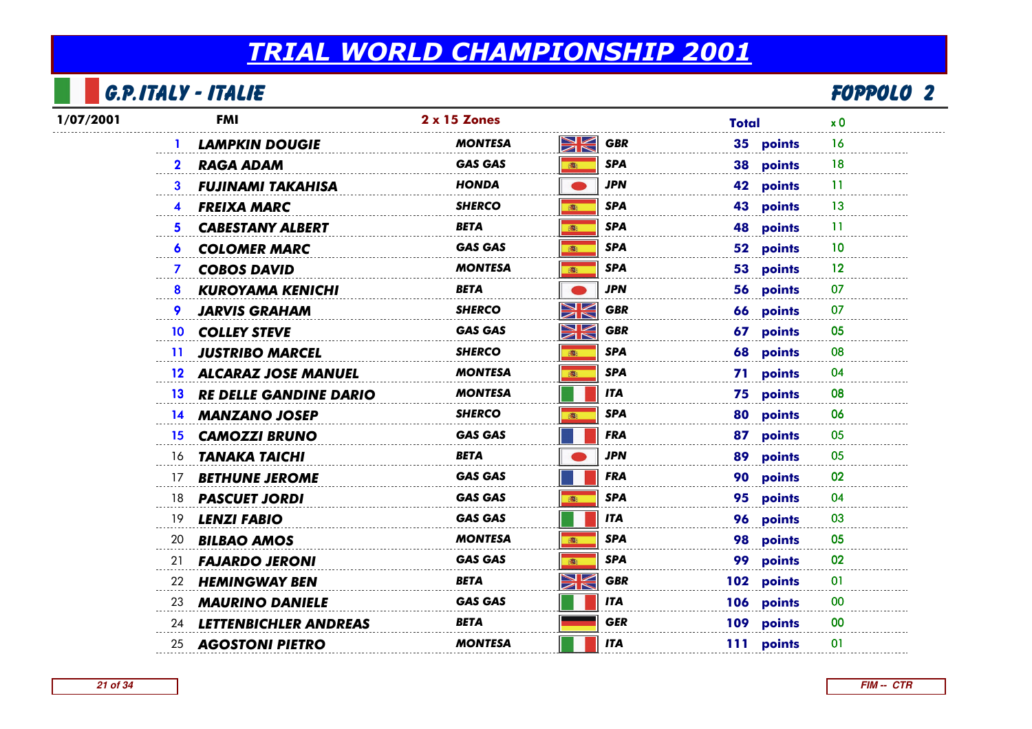## G.P.Italy - Italie

|           | G.P.ITALY - ITALIE                                |                |                   |              | <b>FOPPOLO 2</b> |
|-----------|---------------------------------------------------|----------------|-------------------|--------------|------------------|
| 1/07/2001 | <b>FMI</b>                                        | 2 x 15 Zones   |                   | <b>Total</b> | x <sub>0</sub>   |
|           | <b>LAMPKIN DOUGIE</b>                             | MONTESA        | WK<br><b>GBR</b>  | 35 points    | 16               |
|           | <b>RAGA ADAM</b>                                  | <b>GAS GAS</b> | <b>SPA</b><br>高   | 38 points    | 18               |
|           | <b>FUJINAMI TAKAHISA</b><br>3                     | HONDA          | <b>JPN</b>        | 42 points    | -11              |
|           | <b>FREIXA MARC</b><br>$\blacktriangle$            | <b>SHERCO</b>  | <b>SPA</b><br>10  | 43 points    | 13               |
|           | <b>CABESTANY ALBERT</b><br>5.                     | <b>BETA</b>    | <b>SPA</b><br>高   | 48 points    | 11               |
|           | <b>COLOMER MARC</b><br>6                          | GAS GAS        | <b>SPA</b><br>高   | 52 points    | 10               |
|           | <b>COBOS DAVID</b><br>$\mathbf{7}$                | MONTESA        | <b>SPA</b><br>高   | 53 points    | $12 \,$          |
|           | <b>KUROYAMA KENICHI</b><br>8                      | <b>BETA</b>    | <b>JPN</b>        | 56 points    | 07               |
|           | <b>JARVIS GRAHAM</b>                              | SHERCO         | XK<br><b>GBR</b>  | 66 points    | 07               |
|           | 10 COLLEY STEVE                                   | <b>GAS GAS</b> | NK<br><b>GBR</b>  | 67 points    | 05               |
|           | <b>JUSTRIBO MARCEL</b><br>$\mathbf{11}$           | <b>SHERCO</b>  | <b>SPA</b><br>高   | 68 points    | 08               |
|           | 12 ALCARAZ JOSE MANUEL                            | MONTESA        | <b>SPA</b><br>高   | 71 points    | 04               |
|           | <b>RE DELLE GANDINE DARIO</b><br>13 <sup>13</sup> | <b>MONTESA</b> | <b>ITA</b>        | 75 points    | 08               |
|           | 14 MANZANO JOSEP                                  | <b>SHERCO</b>  | <b>SPA</b><br>高   | 80 points    | 06               |
|           | <b>CAMOZZI BRUNO</b><br>15 <sup>15</sup>          | <b>GAS GAS</b> | <b>FRA</b>        | 87 points    | 05               |
|           | <b>TANAKA TAICHI</b><br>16                        | BETA           | <b>JPN</b>        | 89 points    | 05               |
|           | 17<br><b>BETHUNE JEROME</b>                       | <b>GAS GAS</b> | <b>FRA</b>        | 90 points    | 02               |
|           | <b>PASCUET JORDI</b><br>18                        | <b>GAS GAS</b> | <b>SPA</b><br>高   | 95 points    | 04               |
|           | <b>LENZI FABIO</b><br>19                          | GAS GAS        | <b>ITA</b>        | 96 points    | 03               |
|           | <b>BILBAO AMOS</b><br>20                          | MONTESA        | <b>SPA</b><br>(图) | 98 points    | 05               |
|           | <b>FAJARDO JERONI</b><br>21                       | <b>GAS GAS</b> | <b>SPA</b>        | 99 points    | 02               |
|           | 22<br><b>HEMINGWAY BEN</b>                        | BETA           | XK<br><b>GBR</b>  | 102 points   | 01               |
|           | <b>MAURINO DANIELE</b><br>23                      | <b>GAS GAS</b> | <b>ITA</b>        | 106 points   | 00               |
|           | <b>LETTENBICHLER ANDREAS</b><br>24                | <b>BETA</b>    | <b>GER</b>        | 109 points   | 00               |
|           | <b>AGOSTONI PIETRO</b><br>25                      | <b>MONTESA</b> | <b>ITA</b>        | 111 points   | 01               |
|           |                                                   |                |                   |              |                  |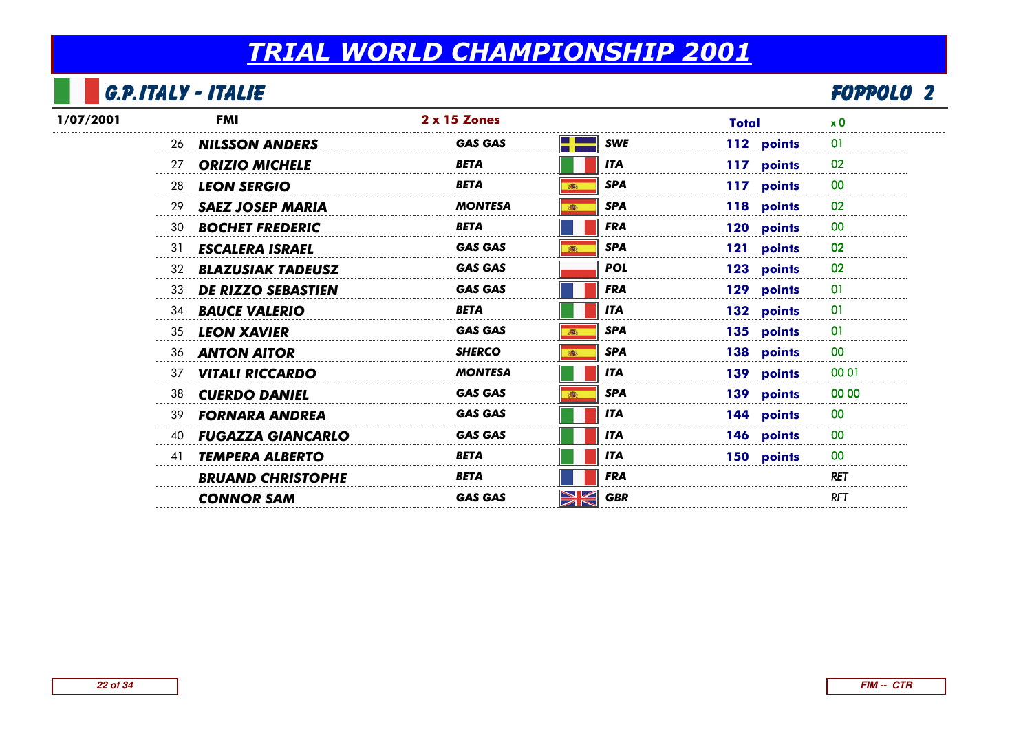## G.P.Italy - Italie

| <b>G.P.ITALY - ITALIE</b>       |                |                  |              | <b>FOPPOLO 2</b> |  |
|---------------------------------|----------------|------------------|--------------|------------------|--|
| <b>FMI</b>                      | 2 x 15 Zones   |                  | <b>Total</b> | x <sub>0</sub>   |  |
| 26 <b>NILSSON ANDERS</b>        | <b>GAS GAS</b> | <b>SWE</b>       | 112 points   | 01               |  |
| <b>ORIZIO MICHELE</b><br>27     | BETA           | <b>ITA</b>       | 117 points   | 02               |  |
| 28<br><b>LEON SERGIO</b>        | <b>BETA</b>    | <b>SPA</b>       | 117 points   | 00               |  |
| <b>SAEZ JOSEP MARIA</b><br>29   | <b>MONTESA</b> | <b>SPA</b>       | 118 points   | 02               |  |
| <b>BOCHET FREDERIC</b><br>30    | <b>BETA</b>    | <b>FRA</b>       | 120 points   | 00               |  |
| <b>ESCALERA ISRAEL</b><br>31    | <b>GAS GAS</b> | <b>SPA</b>       | 121 points   | 02               |  |
| <b>BLAZUSIAK TADEUSZ</b><br>32  | <b>GAS GAS</b> | <b>POL</b>       | 123 points   | 02               |  |
| <b>DE RIZZO SEBASTIEN</b><br>33 | <b>GAS GAS</b> | <b>FRA</b>       | 129 points   | 01               |  |
| <b>BAUCE VALERIO</b><br>34      | <b>BETA</b>    | <b>ITA</b>       | 132 points   | 01               |  |
| <b>LEON XAVIER</b><br>35        | <b>GAS GAS</b> | <b>SPA</b>       | 135 points   | 01               |  |
| <b>ANTON AITOR</b><br>36        | <b>SHERCO</b>  | <b>SPA</b>       | 138 points   | 00               |  |
| <b>VITALI RICCARDO</b><br>37    | <b>MONTESA</b> | <b>ITA</b>       | 139 points   | 00 01            |  |
| 38<br><b>CUERDO DANIEL</b>      | <b>GAS GAS</b> | <b>SPA</b>       | 139 points   | 00 00            |  |
| <b>FORNARA ANDREA</b><br>39     | <b>GAS GAS</b> | <b>ITA</b>       | 144 points   | 00               |  |
| <b>FUGAZZA GIANCARLO</b><br>40  | <b>GAS GAS</b> | <b>ITA</b>       | 146 points   | 00               |  |
| <b>TEMPERA ALBERTO</b><br>41    | <b>BETA</b>    | <b>ITA</b>       | 150 points   | 00               |  |
| <b>BRUAND CHRISTOPHE</b>        | <b>BETA</b>    | <b>FRA</b>       |              | <b>RET</b>       |  |
| <b>CONNOR SAM</b>               | <b>GAS GAS</b> | XK<br><b>GBR</b> |              | RET              |  |
|                                 |                |                  |              |                  |  |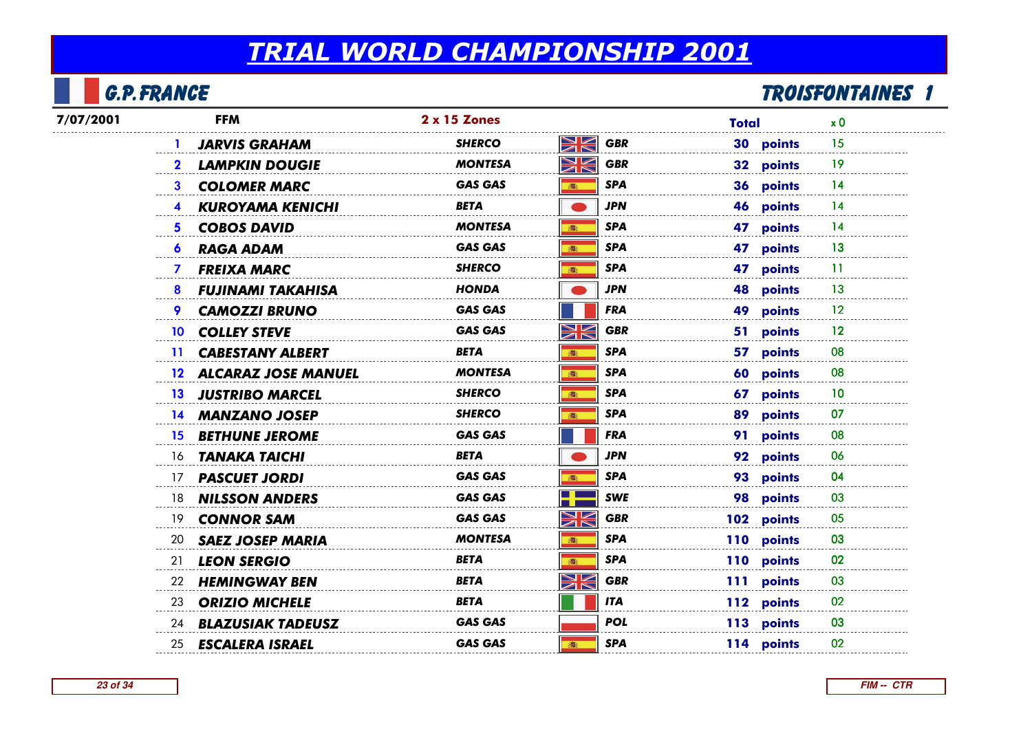## G.P.France

| 7/07/2001      | <b>FFM</b>                | 2 x 15 Zones   |                           | Total      | x <sub>0</sub> |
|----------------|---------------------------|----------------|---------------------------|------------|----------------|
|                | <b>JARVIS GRAHAM</b>      | <b>SHERCO</b>  | NK<br>ZK<br><b>GBR</b>    | 30 points  | 15             |
| $\mathbf{2}$   | <b>LAMPKIN DOUGIE</b>     | <b>MONTESA</b> | XK<br><b>GBR</b>          | 32 points  | 19             |
| 3              | <b>COLOMER MARC</b>       | <b>GAS GAS</b> | <b>SPA</b><br>高           | 36 points  | 14             |
|                | <b>KUROYAMA KENICHI</b>   | <b>BETA</b>    | <b>JPN</b>                | 46 points  | 14             |
| 5 <sup>1</sup> | <b>COBOS DAVID</b>        | <b>MONTESA</b> | <b>SPA</b><br>高           | 47 points  | 14             |
|                | 6 RAGA ADAM               | <b>GAS GAS</b> | <b>SPA</b><br>高           | 47 points  | 13             |
| $\mathbf{7}$   | <b>FREIXA MARC</b>        | <b>SHERCO</b>  | <b>SPA</b><br>高           | 47 points  | 11             |
|                | 8 FUJINAMI TAKAHISA       | <b>HONDA</b>   | <b>JPN</b>                | 48 points  | 13             |
| 9.             | <b>CAMOZZI BRUNO</b>      | <b>GAS GAS</b> | <b>FRA</b>                | 49 points  | $12 \,$        |
|                | 10 COLLEY STEVE           | <b>GAS GAS</b> | XK<br><b>GBR</b>          | 51 points  | 12             |
|                | 11 CABESTANY ALBERT       | <b>BETA</b>    | <b>SPA</b><br><b>illi</b> | 57 points  | 08             |
|                | 12 ALCARAZ JOSE MANUEL    | <b>MONTESA</b> | <b>SPA</b><br>高           | 60 points  | 08             |
|                | 13 JUSTRIBO MARCEL        | <b>SHERCO</b>  | <b>SPA</b><br>高           | 67 points  | 10             |
|                | 14 MANZANO JOSEP          | <b>SHERCO</b>  | <b>SPA</b><br><b>illi</b> | 89 points  | 07             |
|                | 15 BETHUNE JEROME         | <b>GAS GAS</b> | <b>FRA</b>                | 91 points  | 08             |
|                | 16 <b>TANAKA TAICHI</b>   | BETA           | <b>JPN</b>                | 92 points  | 06             |
|                | 17 <b>PASCUET JORDI</b>   | <b>GAS GAS</b> | <b>SPA</b><br>高           | 93 points  | 04             |
|                | 18 <b>NILSSON ANDERS</b>  | <b>GAS GAS</b> | <b>SWE</b><br>- 1         | 98 points  | 03             |
|                | 19 <b>CONNOR SAM</b>      | <b>GAS GAS</b> | XK<br><b>GBR</b>          | 102 points | 05             |
|                | 20 SAEZ JOSEP MARIA       | MONTESA        | <b>SPA</b><br>高           | 110 points | 03             |
|                | 21 LEON SERGIO            | BETA           | <b>SPA</b><br>高           | 110 points | 02             |
|                | 22 HEMINGWAY BEN          | <b>BETA</b>    | XK<br><b>GBR</b>          | 111 points | 03             |
|                | 23 ORIZIO MICHELE         | <b>BETA</b>    | <b>ITA</b>                | 112 points | 02             |
|                | 24 BLAZUSIAK TADEUSZ      | <b>GAS GAS</b> | <b>POL</b>                | 113 points | 03             |
|                | 25 <b>ESCALERA ISRAEL</b> | <b>GAS GAS</b> | <b>SPA</b><br>3           | 114 points | 02             |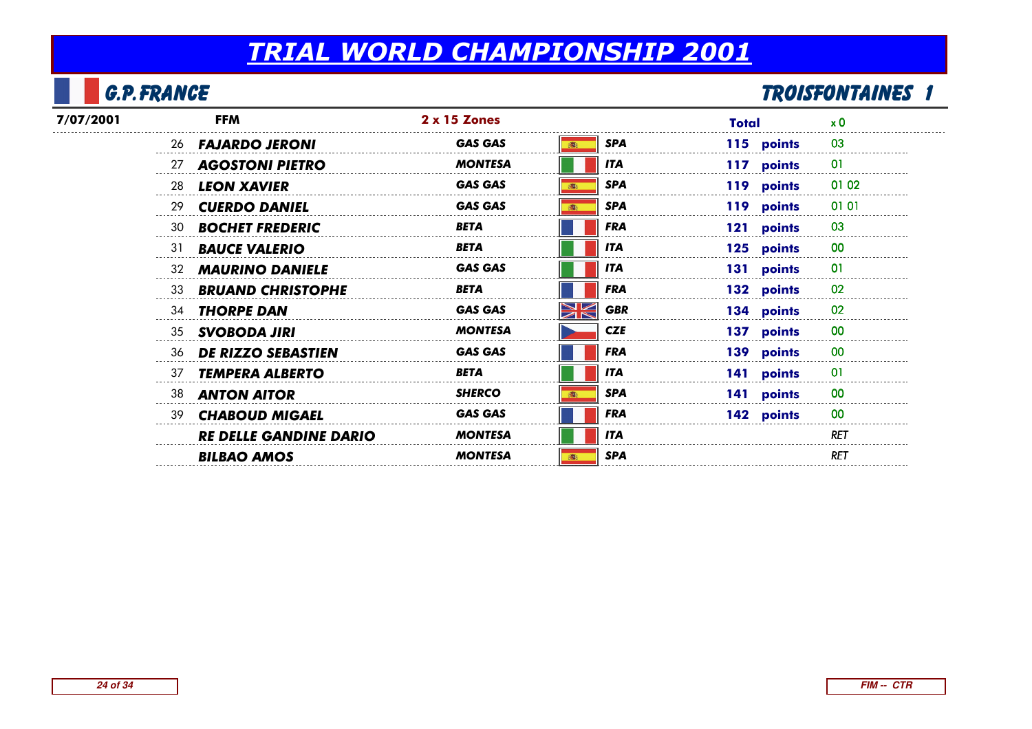## G.P.France

| 7/07/2001 | <b>FFM</b>                      | $2 \times 15$ Zones |                         | Total      | $\times 0$ |
|-----------|---------------------------------|---------------------|-------------------------|------------|------------|
|           | 26 <b>FAJARDO JERONI</b>        | <b>GAS GAS</b>      | <b>SPA</b>              | 115 points | 03         |
|           | 27 <b>AGOSTONI PIETRO</b>       | MONTESA             | <b>ITA</b>              | 117 points | -01        |
|           | 28<br><b>LEON XAVIER</b>        | <b>GAS GAS</b>      | <b>SPA</b>              | 119 points | 01 02      |
|           | 29<br><b>CUERDO DANIEL</b>      | <b>GAS GAS</b>      | <b>SPA</b>              | 119 points | 0101       |
|           | 30<br><b>BOCHET FREDERIC</b>    | <b>BETA</b>         | <b>FRA</b>              | 121 points | 03         |
|           | 31<br><b>BAUCE VALERIO</b>      | <b>BETA</b>         | <b>ITA</b>              | 125 points | 00         |
|           | 32 <b>MAURINO DANIELE</b>       | <b>GAS GAS</b>      | <b>ITA</b>              | 131 points |            |
|           | 33<br><b>BRUAND CHRISTOPHE</b>  | BETA                | <b>FRA</b>              | 132 points | 02         |
|           | 34 THORPE DAN                   | <b>GAS GAS</b>      | <b>SK</b><br><b>GBR</b> | 134 points | 02         |
|           | 35 SVOBODA JIRI                 | <b>MONTESA</b>      | <b>CZE</b>              | 137 points | 00         |
|           | <b>DE RIZZO SEBASTIEN</b><br>36 | <b>GAS GAS</b>      | <b>FRA</b>              | 139 points | 00         |
|           | 37<br><b>TEMPERA ALBERTO</b>    | <b>BETA</b>         | <b>ITA</b>              | 141 points | 01         |
|           | 38<br><b>ANTON AITOR</b>        | <b>SHERCO</b>       | <b>SPA</b>              | 141 points |            |
|           | 39 CHABOUD MIGAEL               | <b>GAS GAS</b>      | <b>FRA</b>              | 142 points | 00         |
|           | <b>RE DELLE GANDINE DARIO</b>   | <b>MONTESA</b>      | <b>ITA</b>              |            | RET        |
|           | <b>BILBAO AMOS</b>              | <b>MONTESA</b>      | <b>SPA</b>              |            | <b>RET</b> |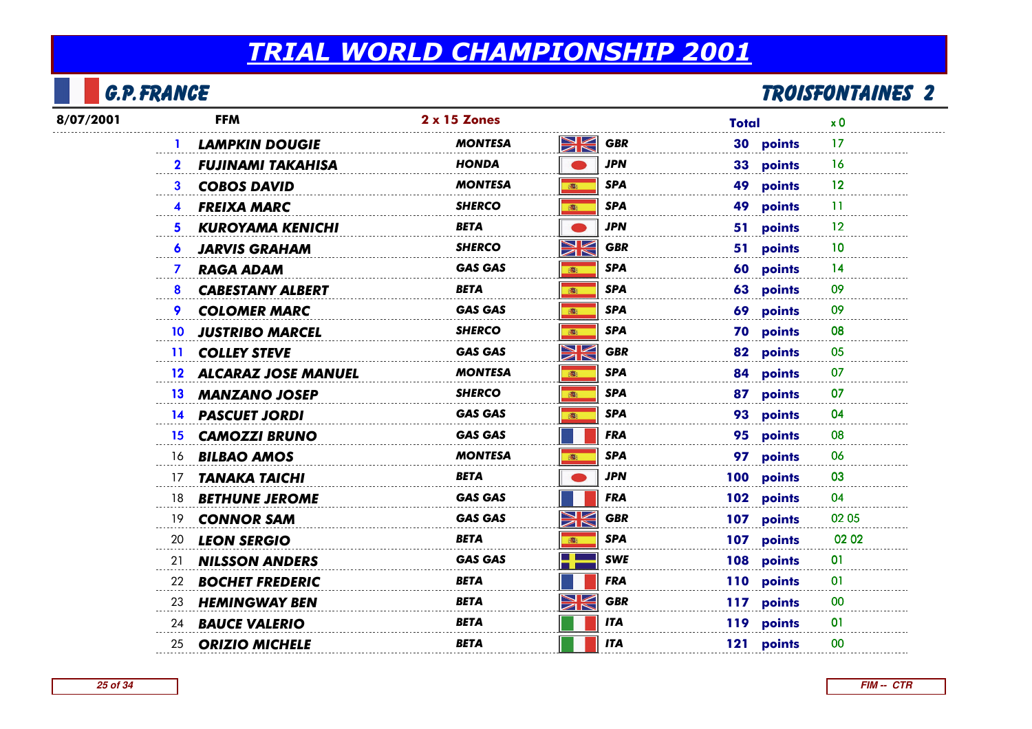## G.P.France

| 8/07/2001 | <b>FFM</b>                                 | 2 x 15 Zones   |                                                                 | Total      | x <sub>0</sub> |
|-----------|--------------------------------------------|----------------|-----------------------------------------------------------------|------------|----------------|
|           | <b>LAMPKIN DOUGIE</b>                      | MONTESA        | NK<br>7K<br><b>GBR</b>                                          | 30 points  | 17             |
|           | <b>FUJINAMI TAKAHISA</b>                   | <b>HONDA</b>   | <b>JPN</b>                                                      | 33 points  | 16             |
|           | <b>COBOS DAVID</b><br>$\mathbf{3}$         | <b>MONTESA</b> | <b>SPA</b><br>高:                                                | 49 points  | 12             |
|           | <b>FREIXA MARC</b>                         | <b>SHERCO</b>  | <b>SPA</b><br>(画)                                               | 49 points  | 11             |
|           | <b>KUROYAMA KENICHI</b><br>5.              | <b>BETA</b>    | <b>JPN</b>                                                      | 51 points  | 12             |
|           | <b>JARVIS GRAHAM</b><br>6                  | <b>SHERCO</b>  | XK<br><b>GBR</b>                                                | 51 points  | 10             |
|           | <b>RAGA ADAM</b><br>$\mathbf{7}$           | <b>GAS GAS</b> | <b>SPA</b><br>高                                                 | 60 points  | 14             |
|           | <b>CABESTANY ALBERT</b><br>8               | <b>BETA</b>    | <b>SPA</b><br>(图)                                               | 63 points  | 09             |
|           | <b>COLOMER MARC</b><br>9.                  | <b>GAS GAS</b> | <b>SPA</b><br>高                                                 | 69 points  | 09             |
|           | <b>JUSTRIBO MARCEL</b><br>10 <sup>10</sup> | <b>SHERCO</b>  | <b>SPA</b><br>高                                                 | 70 points  | 08             |
|           | 11 COLLEY STEVE                            | <b>GAS GAS</b> | NK<br><b>GBR</b>                                                | 82 points  | 05             |
|           | 12 ALCARAZ JOSE MANUEL                     | <b>MONTESA</b> | <b>SPA</b><br>S.                                                | 84 points  | 07             |
|           | 13 MANZANO JOSEP                           | <b>SHERCO</b>  | <b>SPA</b><br>(图)                                               | 87 points  | 07             |
|           | 14 PASCUET JORDI                           | <b>GAS GAS</b> | <b>SPA</b><br>(图)                                               | 93 points  | 04             |
|           | <b>15 CAMOZZI BRUNO</b>                    | <b>GAS GAS</b> | <b>FRA</b>                                                      | 95 points  | 08             |
|           | 16 <b>BILBAO AMOS</b>                      | <b>MONTESA</b> | <b>SPA</b><br>都                                                 | 97 points  | 06             |
|           | <b>TANAKA TAICHI</b><br>$\frac{1}{2}$      | <b>BETA</b>    | JPN                                                             | 100 points | 03             |
|           | 18 <b>BETHUNE JEROME</b>                   | <b>GAS GAS</b> | <b>FRA</b>                                                      | 102 points | 04             |
|           | 19 <b>CONNOR SAM</b>                       | <b>GAS GAS</b> | $\blacktriangleright$<br><b>GBR</b><br>$\overline{\mathscr{A}}$ | 107 points | 02 05          |
|           | 20 LEON SERGIO                             | BETA           | <b>SPA</b><br>高                                                 | 107 points | 02 02          |
|           | 21<br><b>NILSSON ANDERS</b>                | <b>GAS GAS</b> | <b>SWE</b>                                                      | 108 points | 01             |
|           | 22<br><b>BOCHET FREDERIC</b>               | BETA           | <b>FRA</b>                                                      | 110 points | 01             |
|           | <b>HEMINGWAY BEN</b><br>23                 | <b>BETA</b>    | WK<br><b>GBR</b>                                                | 117 points | 00             |
|           | 24 <b>BAUCE VALERIO</b>                    | <b>BETA</b>    | <b>ITA</b>                                                      | 119 points | 01             |
|           | 25 ORIZIO MICHELE                          | BETA           | <b>ITA</b>                                                      | 121 points | 00             |
|           |                                            |                |                                                                 |            |                |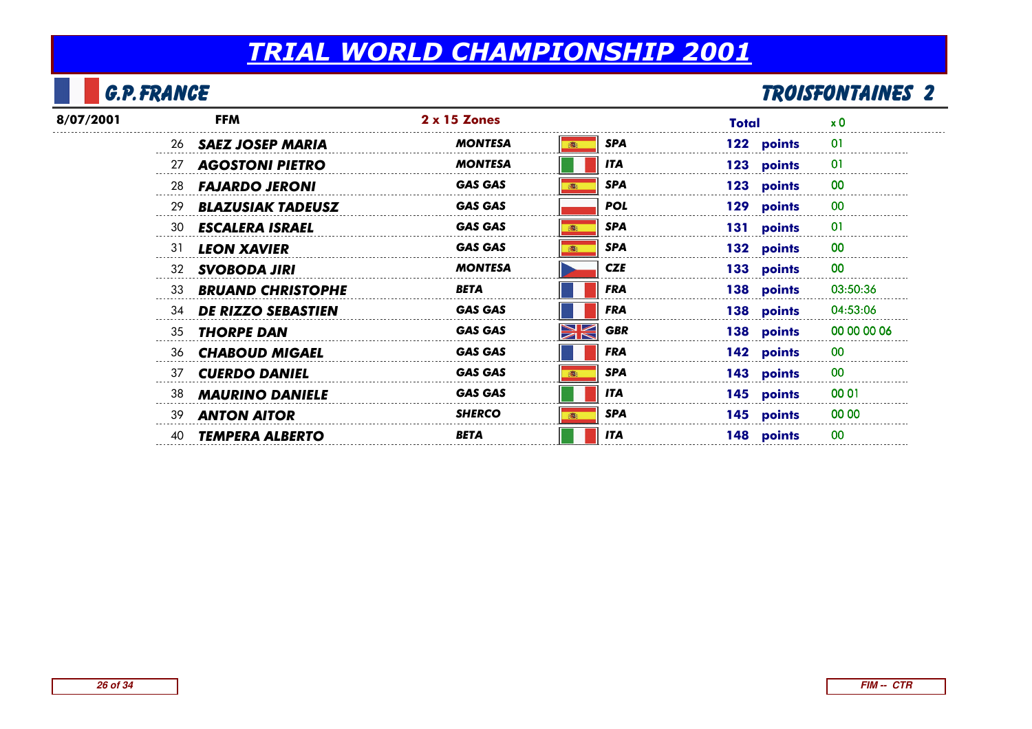## G.P.France

| 8/07/2001 | <b>FFM</b>                     | $2 \times 15$ Zones |                  | Total      | $\times 0$     |
|-----------|--------------------------------|---------------------|------------------|------------|----------------|
|           | 26 <b>SAEZ JOSEP MARIA</b>     | <b>MONTESA</b>      | <b>SPA</b>       | 122 points | $\overline{0}$ |
|           | 27 AGOSTONI PIETRO             | <b>MONTESA</b>      | <b>ITA</b>       | 123 points | 01             |
|           | 28<br><b>FAJARDO JERONI</b>    | <b>GAS GAS</b>      | <b>SPA</b>       | 123 points | 00             |
|           | 29<br><b>BLAZUSIAK TADEUSZ</b> | <b>GAS GAS</b>      | <b>POL</b>       | 129 points | 00             |
|           | 30<br><b>ESCALERA ISRAEL</b>   | <b>GAS GAS</b>      | <b>SPA</b>       | 131 points | 0              |
|           | 31<br><b>LEON XAVIER</b>       | <b>GAS GAS</b>      | <b>SPA</b>       | 132 points | 00             |
|           | <b>SVOBODA JIRI</b><br>32      | <b>MONTESA</b>      | <b>CZE</b>       | 133 points | 00             |
|           | <b>BRUAND CHRISTOPHE</b><br>33 | <b>BETA</b>         | <b>FRA</b>       | 138 points | 03:50:36       |
|           | 34 DE RIZZO SEBASTIEN          | <b>GAS GAS</b>      | <b>FRA</b>       | 138 points | 04:53:06       |
|           | 35<br><b>THORPE DAN</b>        | <b>GAS GAS</b>      | WK<br><b>GBR</b> | 138 points | 00 00 00 06    |
|           | 36<br><b>CHABOUD MIGAEL</b>    | <b>GAS GAS</b>      | <b>FRA</b>       | 142 points | 00             |
|           | 37 CUERDO DANIEL               | <b>GAS GAS</b>      | <b>SPA</b>       | 143 points | 00             |
|           | 38<br><b>MAURINO DANIELE</b>   | <b>GAS GAS</b>      | <b>ITA</b>       | 145 points | 00 01          |
|           | 39<br><b>ANTON AITOR</b>       | <b>SHERCO</b>       | <b>SPA</b>       | 145 points | 00 00          |
|           | <b>TEMPERA ALBERTO</b><br>40   | <b>BETA</b>         | <b>ITA</b>       | 148 points | 0 <sup>0</sup> |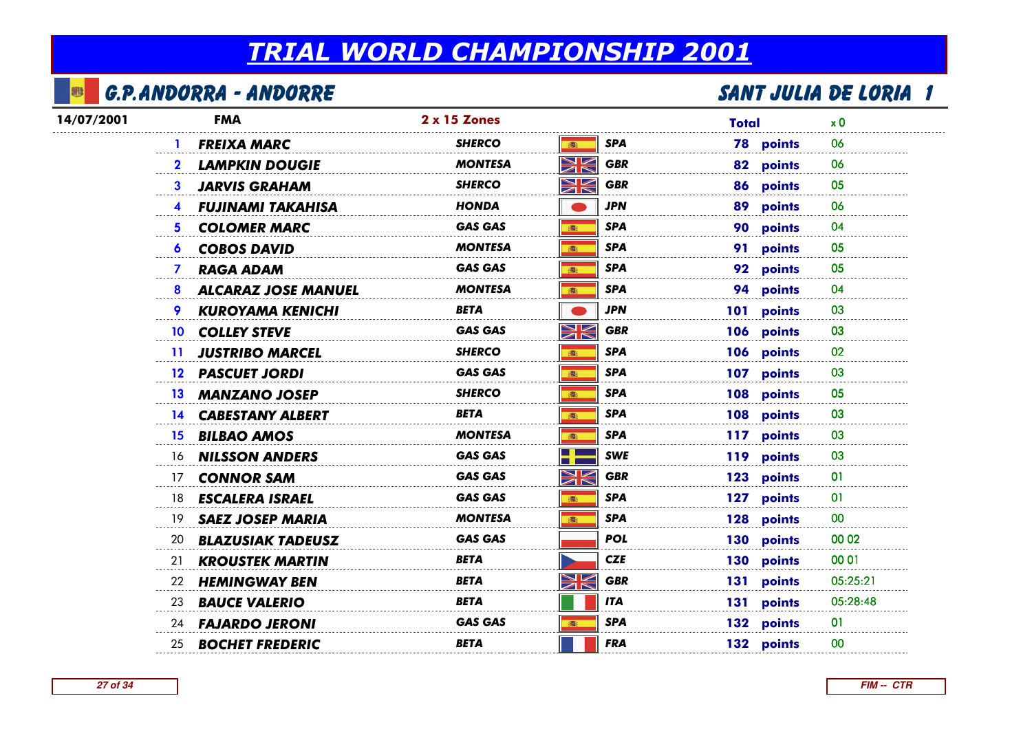#### B G.P.Andorra - Andorre

| 14/07/2001 | <b>FMA</b>                            | 2 x 15 Zones   |                                                                | <b>Total</b>     | x <sub>0</sub> |
|------------|---------------------------------------|----------------|----------------------------------------------------------------|------------------|----------------|
|            | <b>FREIXA MARC</b>                    | <b>SHERCO</b>  | <b>SPA</b><br>高                                                | <b>78 points</b> | 06             |
|            | <b>LAMPKIN DOUGIE</b><br>$\mathbf{2}$ | <b>MONTESA</b> | XK<br><b>GBR</b>                                               | 82 points        | 06             |
|            | <b>JARVIS GRAHAM</b><br>3             | <b>SHERCO</b>  | NK<br><b>GBR</b>                                               | 86 points        | 05             |
|            | <b>FUJINAMI TAKAHISA</b>              | HONDA          | <b>JPN</b>                                                     | 89 points        | 06             |
|            | <b>COLOMER MARC</b>                   | <b>GAS GAS</b> | <b>SPA</b><br>高                                                | 90 points        | 04             |
|            | <b>6 COBOS DAVID</b>                  | <b>MONTESA</b> | <b>SPA</b><br>高                                                | 91 points        | 05             |
|            | <b>RAGA ADAM</b><br>$\mathbf{7}$      | <b>GAS GAS</b> | <b>SPA</b><br>高                                                | 92 points        | 05             |
|            | <b>ALCARAZ JOSE MANUEL</b><br>8       | <b>MONTESA</b> | <b>SPA</b><br>高                                                | 94 points        | 04             |
|            | <b>KUROYAMA KENICHI</b>               | BETA           | JPN                                                            | 101 points       | 03             |
|            | 10 COLLEY STEVE                       | <b>GAS GAS</b> | XK<br><b>GBR</b>                                               | 106 points       | 03             |
|            | 11 JUSTRIBO MARCEL                    | <b>SHERCO</b>  | <b>SPA</b><br>(图)                                              | 106 points       | 02             |
|            | 12 PASCUET JORDI                      | <b>GAS GAS</b> | SPA<br>高                                                       | 107 points       | 03             |
|            | 13 MANZANO JOSEP                      | SHERCO         | <b>SPA</b><br>●                                                | 108 points       | 05             |
|            | 14 CABESTANY ALBERT                   | BETA           | <b>SPA</b><br><b>BEST</b>                                      | 108 points       | 03             |
|            | 15 BILBAO AMOS                        | <b>MONTESA</b> | <b>SPA</b><br>高                                                | 117 points       | 03             |
|            | 16 <b>NILSSON ANDERS</b>              | <b>GAS GAS</b> | <b>SWE</b>                                                     | 119 points       | 03             |
|            | <b>CONNOR SAM</b><br>17               | <b>GAS GAS</b> | $\blacktriangleright$<br><b>GBR</b><br>$\overline{\mathbb{Z}}$ | 123 points       | 01             |
|            | 18 <b>ESCALERA ISRAEL</b>             | <b>GAS GAS</b> | <b>SPA</b><br>高                                                | 127 points       | $\overline{0}$ |
|            | 19 SAEZ JOSEP MARIA                   | <b>MONTESA</b> | <b>SPA</b><br><b>清·</b>                                        | 128 points       | $00\,$         |
|            | 20<br><b>BLAZUSIAK TADEUSZ</b>        | <b>GAS GAS</b> | <b>POL</b>                                                     | 130 points       | 00 02          |
|            | 21<br><b>KROUSTEK MARTIN</b>          | <b>BETA</b>    | <b>CZE</b>                                                     | 130 points       | 00 01          |
|            | 22 HEMINGWAY BEN                      | <b>BETA</b>    | VZ<br><b>GBR</b>                                               | 131 points       | 05:25:21       |
|            | 23 <b>BAUCE VALERIO</b>               | BETA           | <b>ITA</b>                                                     | 131 points       | 05:28:48       |
|            | 24 <b>FAJARDO JERONI</b>              | <b>GAS GAS</b> | <b>SPA</b><br>高                                                | 132 points       | 01             |
|            | 25 <b>BOCHET FREDERIC</b>             | BETA           | <b>FRA</b>                                                     | 132 points       | 00             |
|            |                                       |                |                                                                |                  |                |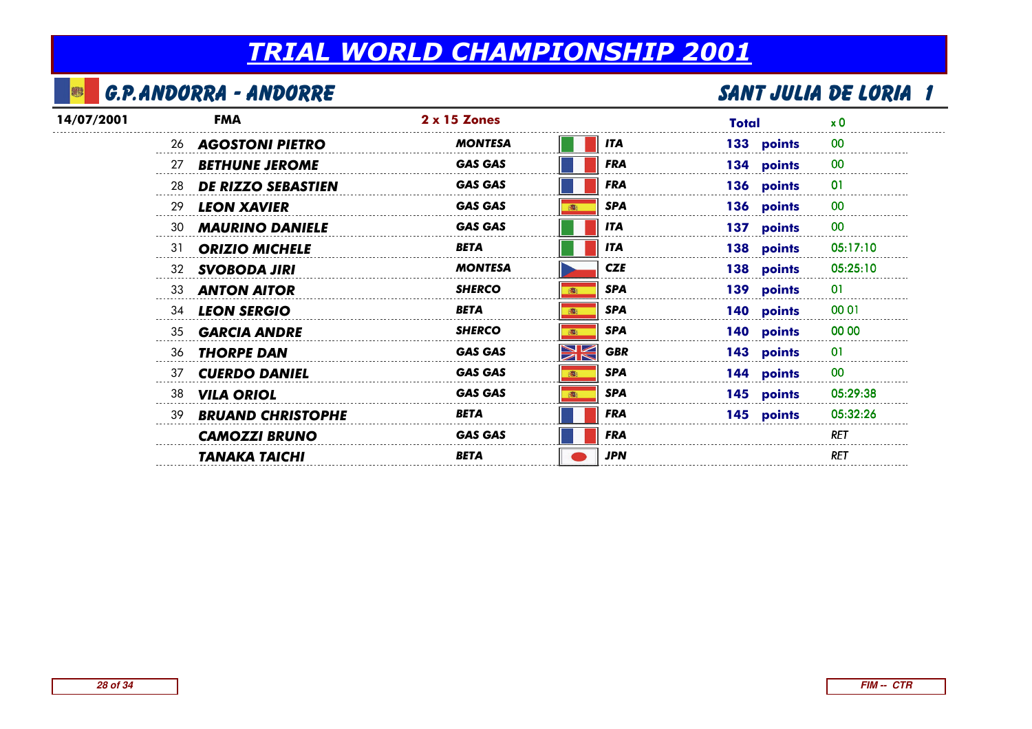#### 霉 G.P.Andorra - Andorre

| <b>FMA</b>                      | $2 \times 15$ Zones |                      | Total      | $\times 0$ |
|---------------------------------|---------------------|----------------------|------------|------------|
| <b>AGOSTONI PIETRO</b><br>26    | <b>MONTESA</b>      | <b>ITA</b>           | 133 points | 00         |
| <b>BETHUNE JEROME</b><br>27     | <b>GAS GAS</b>      | <b>FRA</b>           | 134 points | 00         |
| 28<br><b>DE RIZZO SEBASTIEN</b> | <b>GAS GAS</b>      | <b>FRA</b>           | 136 points | 01         |
| <b>LEON XAVIER</b><br>29        | <b>GAS GAS</b>      | <b>SPA</b>           | 136 points | 00         |
| 30 <b>MAURINO DANIELE</b>       | <b>GAS GAS</b>      | <b>ITA</b>           | 137 points | 00         |
| 31<br><b>ORIZIO MICHELE</b>     | <b>BETA</b>         | <b>ITA</b>           | 138 points | 05:17:10   |
| 32 SVOBODA JIRI                 | <b>MONTESA</b>      | <b>CZE</b>           | 138 points | 05:25:10   |
| <b>ANTON AITOR</b><br>33        | <b>SHERCO</b>       | <b>SPA</b>           | 139 points | 01         |
| 34 LEON SERGIO                  | <b>BETA</b>         | <b>SPA</b><br>(图)    | 140 points | 00 01      |
| <b>GARCIA ANDRE</b><br>35       | <b>SHERCO</b>       | <b>SPA</b><br>and it | 140 points | 00 00      |
| <b>THORPE DAN</b><br>36         | <b>GAS GAS</b>      | WK<br><b>GBR</b>     | 143 points | 01         |
| 37<br><b>CUERDO DANIEL</b>      | <b>GAS GAS</b>      | <b>SPA</b>           | 144 points | 00         |
| <b>VILA ORIOL</b><br>38         | <b>GAS GAS</b>      | <b>SPA</b>           | 145 points | 05:29:38   |
| <b>BRUAND CHRISTOPHE</b><br>39  | <b>BETA</b>         | <b>FRA</b>           | 145 points | 05:32:26   |
| <b>CAMOZZI BRUNO</b>            | <b>GAS GAS</b>      | <b>FRA</b>           |            | RET        |
| <b>TANAKA TAICHI</b>            | <b>BETA</b>         | <b>JPN</b>           |            | <b>RET</b> |
|                                 |                     |                      |            |            |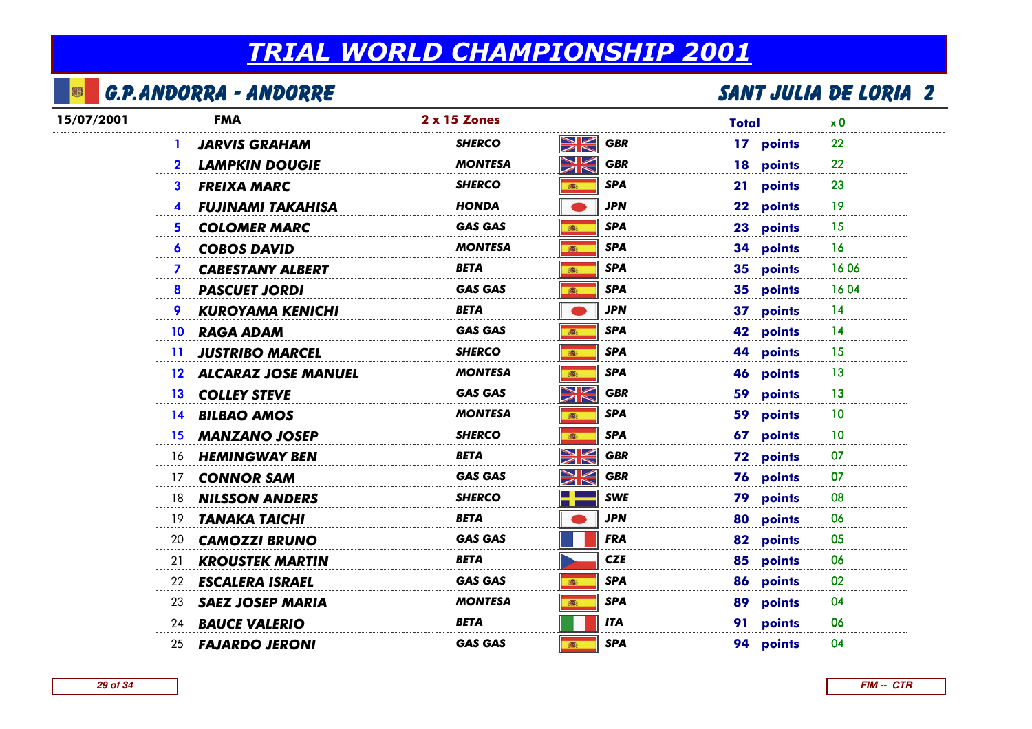#### 霉 G.P.Andorra - Andorre

| 15/07/2001 | <b>FMA</b>                                | 2 x 15 Zones   |                                                                                      | <b>Total</b> | x <sub>0</sub> |
|------------|-------------------------------------------|----------------|--------------------------------------------------------------------------------------|--------------|----------------|
|            | <b>JARVIS GRAHAM</b>                      | <b>SHERCO</b>  | XK<br><b>GBR</b>                                                                     | 17 points    | 22             |
|            | <b>LAMPKIN DOUGIE</b><br>$\mathbf{2}$     | <b>MONTESA</b> | XK<br><b>GBR</b>                                                                     | 18 points    | 22             |
|            | <b>FREIXA MARC</b><br>3                   | <b>SHERCO</b>  | <b>SPA</b><br>高                                                                      | 21 points    | 23             |
|            | <b>FUJINAMI TAKAHISA</b>                  | HONDA          | <b>JPN</b>                                                                           | 22 points    | 19             |
|            | <b>COLOMER MARC</b><br>5.                 | <b>GAS GAS</b> | <b>SPA</b><br>高                                                                      | 23 points    | 15             |
|            | <b>COBOS DAVID</b><br>6.                  | <b>MONTESA</b> | <b>SPA</b><br>高                                                                      | 34 points    | 16             |
|            | <b>CABESTANY ALBERT</b><br>$\mathbf{7}$   | BETA           | <b>SPA</b><br>高                                                                      | 35 points    | 1606           |
|            | <b>PASCUET JORDI</b><br>8                 | <b>GAS GAS</b> | <b>SPA</b><br>高                                                                      | 35 points    | 1604           |
|            | 9.<br><b>KUROYAMA KENICHI</b>             | <b>BETA</b>    | <b>JPN</b>                                                                           | 37 points    | 14             |
|            | <b>RAGA ADAM</b><br>10                    | <b>GAS GAS</b> | <b>SPA</b><br>高                                                                      | 42 points    | 14             |
|            | <b>JUSTRIBO MARCEL</b><br>$\overline{11}$ | <b>SHERCO</b>  | <b>SPA</b><br>高                                                                      | 44 points    | 15             |
|            | 12 ALCARAZ JOSE MANUEL                    | <b>MONTESA</b> | <b>SPA</b><br>6                                                                      | 46 points    | 13             |
|            | 13 COLLEY STEVE                           | <b>GAS GAS</b> | $\blacktriangleright$ $\blacktriangleright$<br><b>GBR</b><br>$\overline{\mathbb{Z}}$ | 59 points    | 13             |
|            | 14 BILBAO AMOS                            | <b>MONTESA</b> | <b>SPA</b><br>高                                                                      | 59 points    | 10             |
|            | 15 MANZANO JOSEP                          | <b>SHERCO</b>  | <b>SPA</b><br>高                                                                      | 67 points    | 10             |
|            | 16 HEMINGWAY BEN                          | <b>BETA</b>    | XK<br><b>GBR</b>                                                                     | 72 points    | 07             |
|            | <b>CONNOR SAM</b><br>17                   | <b>GAS GAS</b> | NK<br>ZK<br><b>GBR</b>                                                               | 76 points    | 07             |
|            | <b>NILSSON ANDERS</b><br>18               | <b>SHERCO</b>  | <b>SWE</b>                                                                           | 79 points    | 08             |
|            | <b>TANAKA TAICHI</b><br>19.               | <b>BETA</b>    | <b>JPN</b>                                                                           | 80 points    | 06             |
|            | 20<br><b>CAMOZZI BRUNO</b>                | <b>GAS GAS</b> | FRA                                                                                  | 82 points    | 05             |
|            | 21<br><b>KROUSTEK MARTIN</b>              | <b>BETA</b>    | <b>CZE</b>                                                                           | 85 points    | 06             |
|            | <b>ESCALERA ISRAEL</b><br>22              | <b>GAS GAS</b> | <b>SPA</b>                                                                           | 86 points    | 02             |
|            | <b>SAEZ JOSEP MARIA</b><br>23             | <b>MONTESA</b> | <b>SPA</b><br>痛                                                                      | 89 points    | 04             |
|            | <b>BAUCE VALERIO</b><br>24                | <b>BETA</b>    | <b>ITA</b>                                                                           | 91 points    | 06             |
|            | 25 <b>FAJARDO JERONI</b>                  | <b>GAS GAS</b> | <b>SPA</b><br>: 高                                                                    | 94 points    | 04             |
|            |                                           |                |                                                                                      |              |                |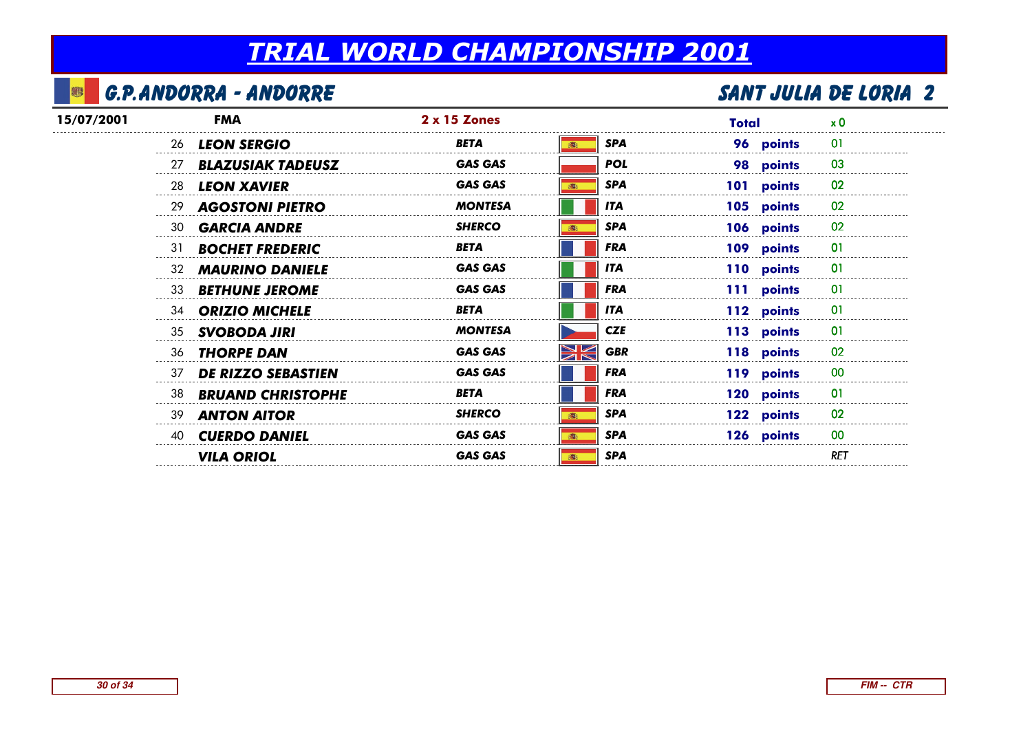## G.P.Andorra - Andorre

| 15/07/2001 |    | <b>FMA</b>                | $2 \times 15$ Zones |                         | Total      | $\times 0$     |
|------------|----|---------------------------|---------------------|-------------------------|------------|----------------|
|            |    | 26 LEON SERGIO            | <b>BETA</b>         | <b>SPA</b>              | 96 points  | 01             |
|            | 27 | <b>BLAZUSIAK TADEUSZ</b>  | <b>GAS GAS</b>      | <b>POL</b>              | 98 points  | 03             |
|            | 28 | <b>LEON XAVIER</b>        | <b>GAS GAS</b>      | <b>SPA</b>              | 101 points | 02             |
|            |    | 29 AGOSTONI PIETRO        | <b>MONTESA</b>      | <b>ITA</b>              | 105 points | 02             |
|            | 30 | <b>GARCIA ANDRE</b>       | <b>SHERCO</b>       | <b>SPA</b>              | 106 points | 02             |
|            | 31 | <b>BOCHET FREDERIC</b>    | <b>BETA</b>         | <b>FRA</b>              | 109 points | $\overline{0}$ |
|            | 32 | <b>MAURINO DANIELE</b>    | <b>GAS GAS</b>      | <b>ITA</b>              | 110 points | 01             |
|            | 33 | <b>BETHUNE JEROME</b>     | <b>GAS GAS</b>      | <b>FRA</b>              | 111 points | 01             |
|            |    | 34 ORIZIO MICHELE         | BETA                | <b>ITA</b>              | 112 points | 01             |
|            |    | 35 SVOBODA JIRI           | <b>MONTESA</b>      | <b>CZE</b>              | 113 points | 01             |
|            |    | 36 <b>THORPE DAN</b>      | <b>GAS GAS</b>      | <b>NK</b><br><b>GBR</b> | 118 points | 02             |
|            | 37 | <b>DE RIZZO SEBASTIEN</b> | <b>GAS GAS</b>      | <b>FRA</b>              | 119 points | 00             |
|            |    | 38 BRUAND CHRISTOPHE      | <b>BETA</b>         | <b>FRA</b>              | 120 points | $_{01}$        |
|            |    | 39 <b>ANTON AITOR</b>     | <b>SHERCO</b>       | <b>SPA</b>              | 122 points | 02             |
|            | 40 | <b>CUERDO DANIEL</b>      | <b>GAS GAS</b>      | <b>SPA</b>              | 126 points | 00             |
|            |    | <b>VILA ORIOL</b>         | <b>GAS GAS</b>      | <b>SPA</b>              |            | <b>RET</b>     |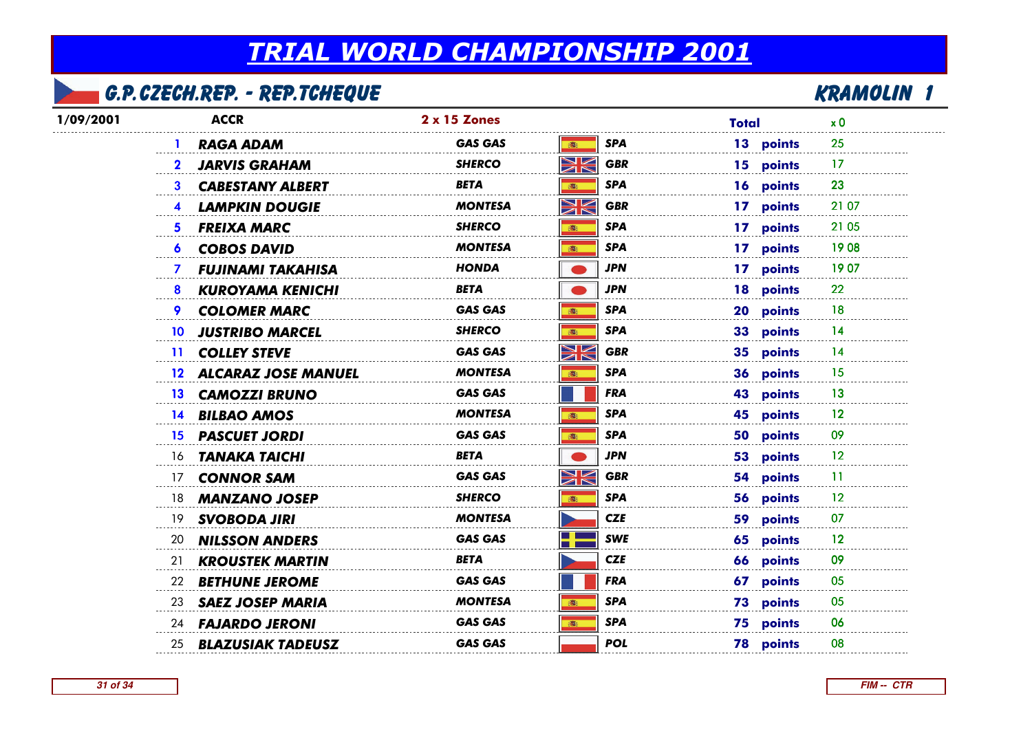### G.P.Czech.Rep. - Rep.Tcheque

| 1/09/2001 | <b>ACCR</b>                               | <b>2 x 15 Zones</b> |                                             | <b>Total</b>     | x <sub>0</sub> |
|-----------|-------------------------------------------|---------------------|---------------------------------------------|------------------|----------------|
|           | <b>RAGA ADAM</b>                          | <b>GAS GAS</b>      | <b>SPA</b><br>(图)                           | 13 points        | 25             |
|           | <b>JARVIS GRAHAM</b><br>$\mathbf{2}$      | <b>SHERCO</b>       | Ж<br><b>GBR</b>                             | 15 points        | 17             |
|           | 3<br><b>CABESTANY ALBERT</b>              | <b>BETA</b>         | <b>SPA</b><br>(图)                           | 16 points        | 23             |
|           | <b>LAMPKIN DOUGIE</b>                     | MONTESA             | NK<br><b>GBR</b>                            | 17 points        | 21 07          |
|           | <b>FREIXA MARC</b><br>5.                  | SHERCO              | <b>SPA</b><br>(画)                           | 17 points        | 21 05          |
|           | <b>COBOS DAVID</b><br>6                   | <b>MONTESA</b>      | <b>SPA</b><br>(画)                           | 17 points        | 1908           |
|           | <b>FUJINAMI TAKAHISA</b><br>7             | <b>HONDA</b>        | <b>JPN</b>                                  | 17 points        | 1907           |
|           | 8<br><b>KUROYAMA KENICHI</b>              | <b>BETA</b>         | <b>JPN</b>                                  | 18 points        | 22             |
|           | 9<br><b>COLOMER MARC</b>                  | <b>GAS GAS</b>      | <b>SPA</b><br>高                             | 20 points        | 18             |
|           | <b>JUSTRIBO MARCEL</b><br>10 <sup>°</sup> | <b>SHERCO</b>       | <b>SPA</b><br>(图)                           | 33 points        | 14             |
|           | 11 COLLEY STEVE                           | <b>GAS GAS</b>      | ↘∠<br><b>GBR</b><br>ØÑ                      | 35 points        | 14             |
|           | 12 ALCARAZ JOSE MANUEL                    | <b>MONTESA</b>      | <b>SPA</b>                                  | 36 points        | 15             |
|           | 13 CAMOZZI BRUNO                          | <b>GAS GAS</b>      | <b>FRA</b>                                  | 43 points        | 13             |
|           | 14 BILBAO AMOS                            | <b>MONTESA</b>      | <b>SPA</b>                                  | 45 points        | 12             |
|           | <b>PASCUET JORDI</b><br>15 <sup>15</sup>  | <b>GAS GAS</b>      | <b>SPA</b><br>(画)                           | 50 points        | 09             |
|           | TANAKA TAICHI<br>16                       | <b>BETA</b>         | <b>JPN</b>                                  | 53 points        | 12             |
|           | <b>CONNOR SAM</b><br>17                   | <b>GAS GAS</b>      | ↘∠<br><b>GBR</b><br>$\overline{\mathbb{Z}}$ | 54 points        | -11            |
|           | <b>MANZANO JOSEP</b><br>18                | SHERCO              | <b>SPA</b>                                  | 56 points        | 12             |
|           | <b>SVOBODA JIRI</b><br>19                 | <b>MONTESA</b>      | <b>CZE</b>                                  | 59 points        | 07             |
|           | 20<br><b>NILSSON ANDERS</b>               | <b>GAS GAS</b>      | <b>SWE</b>                                  | 65 points        | 12             |
|           | 21<br><b>KROUSTEK MARTIN</b>              | <b>BETA</b>         | <b>CZE</b>                                  | 66 points        | 09             |
|           | <b>BETHUNE JEROME</b><br>22               | <b>GAS GAS</b>      | <b>FRA</b>                                  | 67 points        | 05             |
|           | <b>SAEZ JOSEP MARIA</b><br>23             | <b>MONTESA</b>      | <b>SPA</b><br>(画)                           | 73 points        | 05             |
|           | <b>FAJARDO JERONI</b><br>24               | <b>GAS GAS</b>      | <b>SPA</b><br>16:                           | 75 points        | 06             |
|           | <b>BLAZUSIAK TADEUSZ</b><br>25            | <b>GAS GAS</b>      | <b>POL</b>                                  | <b>78 points</b> | 08             |
|           |                                           |                     |                                             |                  |                |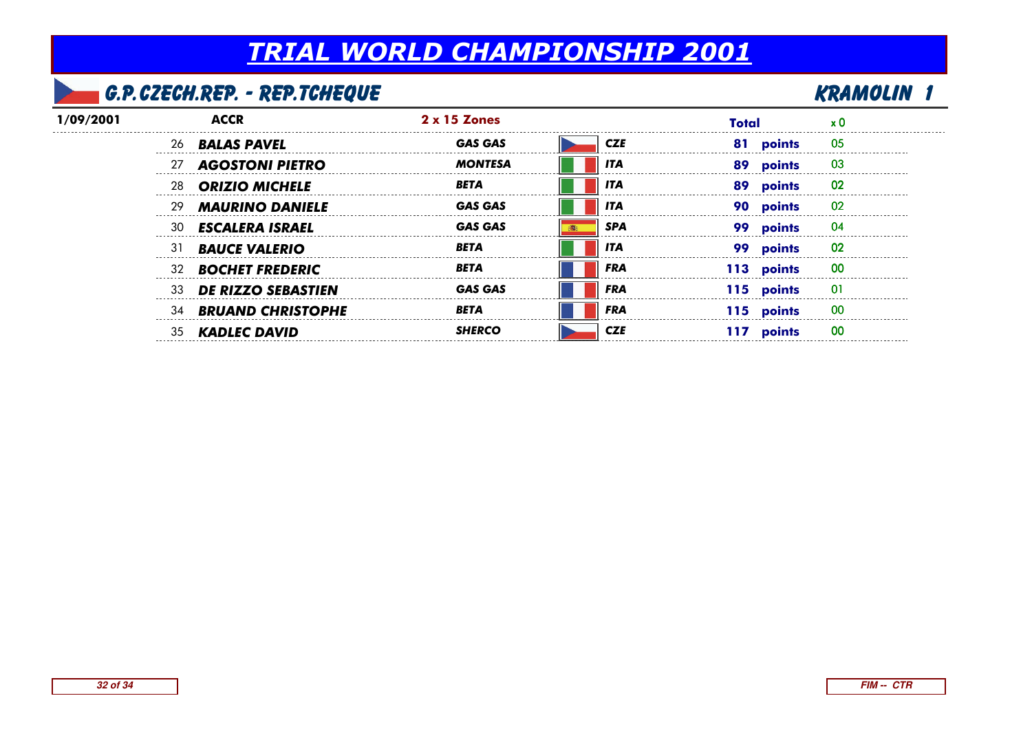## G.P.Czech.Rep. - Rep.Tcheque

| 1/09/2001 |     |                           | $2 \times 15$ Zones |            | Total          |    |
|-----------|-----|---------------------------|---------------------|------------|----------------|----|
|           |     | 26 <b>BALAS PAVEL</b>     | <b>GAS GAS</b>      | <b>CZE</b> | 81<br>points   | 05 |
|           | 27  | <b>AGOSTONI PIETRO</b>    | <b>MONTESA</b>      | ITA        | 89<br>points   | 03 |
|           | 28  | <b>ORIZIO MICHELE</b>     | RETA                | <b>ITA</b> | -89<br>points  | 02 |
|           | -29 | <b>MAURINO DANIELE</b>    | <b>GAS GAS</b>      | <b>ITA</b> | points         | 02 |
|           | -30 | <b>ESCALERA ISRAEL</b>    | <b>GAS GAS</b>      | SPA        | points         | 04 |
|           | 31  | <b>BAUCE VALERIO</b>      | <b>BETA</b>         | ITA        | points         | 02 |
|           |     | 32 <b>BOCHET FREDERIC</b> | RETA                | <b>FRA</b> | points<br>113. | 00 |
|           | 33  | <b>DE RIZZO SEBASTIEN</b> | <b>GAS GAS</b>      | <b>FRA</b> | 115 points     |    |
|           | 34  | <b>BRUAND CHRISTOPHE</b>  | <b>BETA</b>         | <b>FRA</b> | 115 points     | 00 |
|           | 35  | <b>KADLEC DAVID</b>       | <b>SHERGO</b>       | CZE        | points         | oc |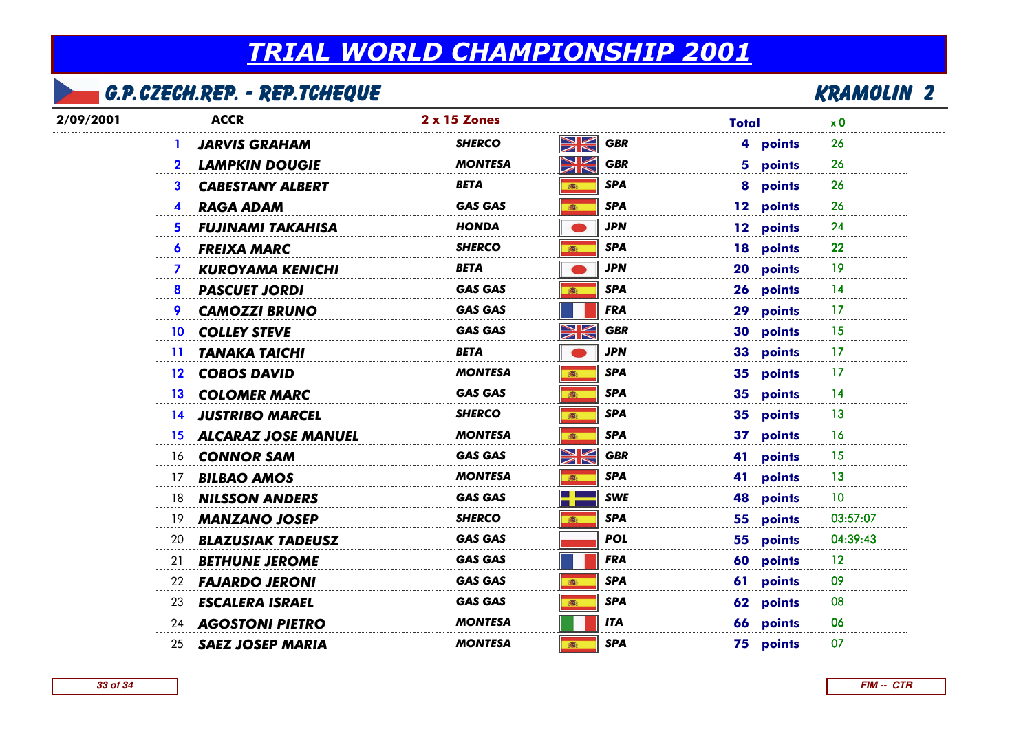## G.P.Czech.Rep. - Rep.Tcheque

| <b>ACCR</b>                             | 2 x 15 Zones                | <b>Total</b>           | x <sub>0</sub>         |
|-----------------------------------------|-----------------------------|------------------------|------------------------|
| <b>JARVIS GRAHAM</b>                    | <b>SHERCO</b>               | <b>GBR</b>             | 4 points<br>26         |
| <b>LAMPKIN DOUGIE</b><br>$\mathbf{2}$   | <b>MONTESA</b>              | <b>GBR</b>             | 5 points<br>26         |
| <b>CABESTANY ALBERT</b><br>3            | BETA<br><b>in</b>           | SPA                    | 8 points<br>26         |
| <b>RAGA ADAM</b><br>4                   | <b>GAS GAS</b><br>6         | <b>SPA</b>             | 12 points<br>26        |
| <b>FUJINAMI TAKAHISA</b><br>5.          | <b>HONDA</b>                | <b>JPN</b>             | 12 points<br>24        |
| <b>FREIXA MARC</b><br>6                 | SHERCO<br>高                 | SPA                    | 22<br>18 points        |
| <b>KUROYAMA KENICHI</b><br>$\mathbf{7}$ | BETA                        | JPN                    | 20 points<br>-19       |
| <b>PASCUET JORDI</b><br>8               | <b>GAS GAS</b><br>高         | <b>SPA</b>             | 26 points<br>14        |
| <b>CAMOZZI BRUNO</b><br>9               | <b>GAS GAS</b>              | <b>FRA</b>             | 29 points<br>17        |
| <b>COLLEY STEVE</b><br>10 <sup>°</sup>  | XK<br><b>GAS GAS</b>        | <b>GBR</b>             | 30 points<br>15        |
| <b>TANAKA TAICHI</b><br>$\mathbf{11}$   | <b>BETA</b>                 | <b>JPN</b>             | 33 points<br>17        |
| 12 COBOS DAVID                          | <b>MONTESA</b><br>(画)       | SPA                    | 35 points<br>17        |
| 13 COLOMER MARC                         | <b>GAS GAS</b><br>6         | <b>SPA</b>             | 14<br>35 points        |
| 14 JUSTRIBO MARCEL                      | <b>SHERCO</b><br>16:        | SPA                    | 35 points<br>13        |
|                                         | <b>MONTESA</b><br>(图)       | SPA                    | 37 points<br>16        |
| 16 <b>CONNOR SAM</b>                    | XK<br><b>GAS GAS</b>        | <b>GBR</b>             | 41 points<br>15        |
| <b>BILBAO AMOS</b><br>17                | <b>MONTESA</b><br>高         | SPA                    | 41 points<br>13        |
| <b>NILSSON ANDERS</b><br>18             | <b>GAS GAS</b>              | <b>SWE</b>             | 10<br>48 points        |
| <b>MANZANO JOSEP</b><br>19              | <b>SHERCO</b><br><b>图:</b>  | <b>SPA</b>             | 55 points<br>03:57:07  |
| <b>BLAZUSIAK TADEUSZ</b><br>20          | <b>GAS GAS</b>              | <b>POL</b>             | 04:39:43<br>55 points  |
| 21<br><b>BETHUNE JEROME</b>             | <b>GAS GAS</b>              | <b>FRA</b>             | 60 points<br>12        |
| <b>FAJARDO JERONI</b><br>22             | <b>GAS GAS</b><br>: 高       | SPA                    | 61 points<br>09        |
| <b>ESCALERA ISRAEL</b><br>23            | <b>GAS GAS</b>              | SPA                    | 62 points<br>08        |
| 24 AGOSTONI PIETRO                      | <b>MONTESA</b>              | ITA                    | 66 points<br>06        |
| 25 SAEZ JOSEP MARIA                     | <b>MONTESA</b><br><b>湾:</b> | SPA                    | <b>75 points</b><br>07 |
|                                         |                             | 15 ALCARAZ JOSE MANUEL | NK<br>XK               |